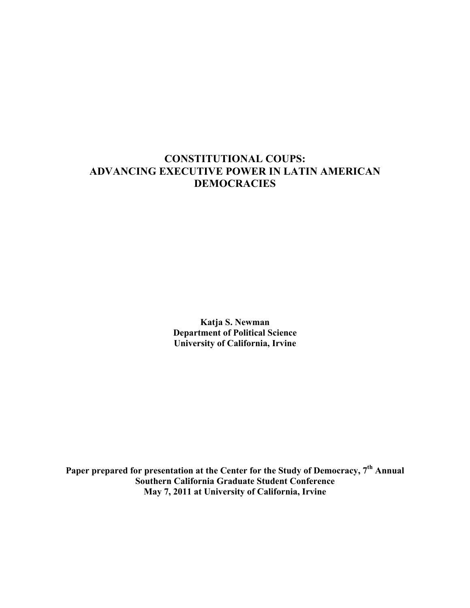# **CONSTITUTIONAL COUPS: ADVANCING EXECUTIVE POWER IN LATIN AMERICAN DEMOCRACIES**

**Katja S. Newman Department of Political Science University of California, Irvine**

**Paper prepared for presentation at the Center for the Study of Democracy, 7th Annual Southern California Graduate Student Conference May 7, 2011 at University of California, Irvine**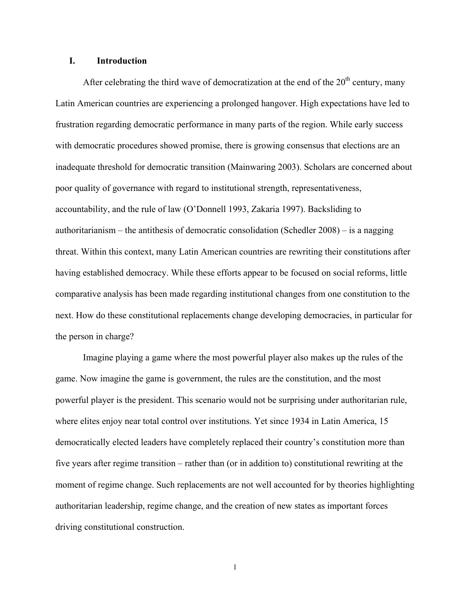### **I. Introduction**

After celebrating the third wave of democratization at the end of the  $20<sup>th</sup>$  century, many Latin American countries are experiencing a prolonged hangover. High expectations have led to frustration regarding democratic performance in many parts of the region. While early success with democratic procedures showed promise, there is growing consensus that elections are an inadequate threshold for democratic transition (Mainwaring 2003). Scholars are concerned about poor quality of governance with regard to institutional strength, representativeness, accountability, and the rule of law (O'Donnell 1993, Zakaria 1997). Backsliding to authoritarianism – the antithesis of democratic consolidation (Schedler 2008) – is a nagging threat. Within this context, many Latin American countries are rewriting their constitutions after having established democracy. While these efforts appear to be focused on social reforms, little comparative analysis has been made regarding institutional changes from one constitution to the next. How do these constitutional replacements change developing democracies, in particular for the person in charge?

Imagine playing a game where the most powerful player also makes up the rules of the game. Now imagine the game is government, the rules are the constitution, and the most powerful player is the president. This scenario would not be surprising under authoritarian rule, where elites enjoy near total control over institutions. Yet since 1934 in Latin America, 15 democratically elected leaders have completely replaced their country's constitution more than five years after regime transition – rather than (or in addition to) constitutional rewriting at the moment of regime change. Such replacements are not well accounted for by theories highlighting authoritarian leadership, regime change, and the creation of new states as important forces driving constitutional construction.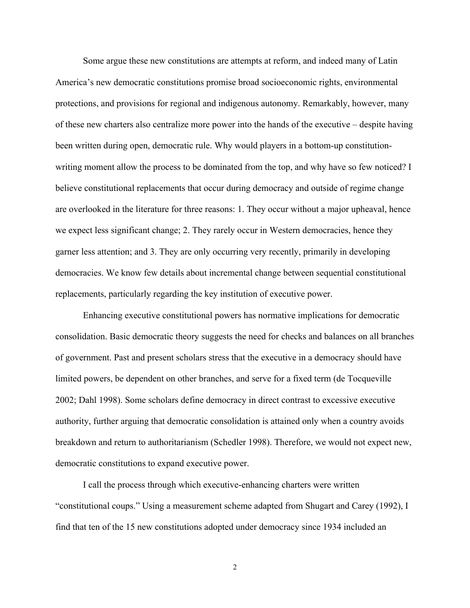Some argue these new constitutions are attempts at reform, and indeed many of Latin America's new democratic constitutions promise broad socioeconomic rights, environmental protections, and provisions for regional and indigenous autonomy. Remarkably, however, many of these new charters also centralize more power into the hands of the executive – despite having been written during open, democratic rule. Why would players in a bottom-up constitutionwriting moment allow the process to be dominated from the top, and why have so few noticed? I believe constitutional replacements that occur during democracy and outside of regime change are overlooked in the literature for three reasons: 1. They occur without a major upheaval, hence we expect less significant change; 2. They rarely occur in Western democracies, hence they garner less attention; and 3. They are only occurring very recently, primarily in developing democracies. We know few details about incremental change between sequential constitutional replacements, particularly regarding the key institution of executive power.

Enhancing executive constitutional powers has normative implications for democratic consolidation. Basic democratic theory suggests the need for checks and balances on all branches of government. Past and present scholars stress that the executive in a democracy should have limited powers, be dependent on other branches, and serve for a fixed term (de Tocqueville 2002; Dahl 1998). Some scholars define democracy in direct contrast to excessive executive authority, further arguing that democratic consolidation is attained only when a country avoids breakdown and return to authoritarianism (Schedler 1998). Therefore, we would not expect new, democratic constitutions to expand executive power.

I call the process through which executive-enhancing charters were written "constitutional coups." Using a measurement scheme adapted from Shugart and Carey (1992), I find that ten of the 15 new constitutions adopted under democracy since 1934 included an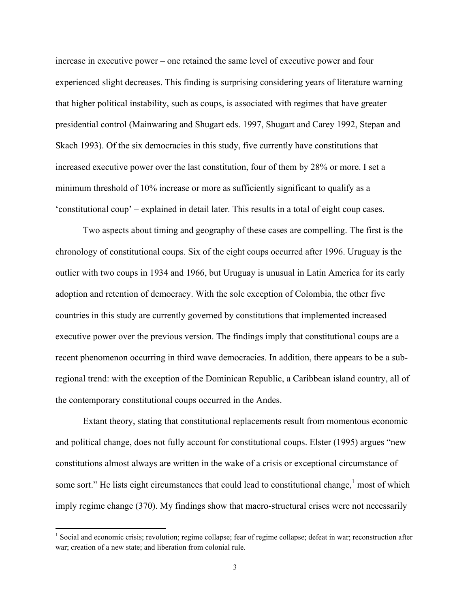increase in executive power – one retained the same level of executive power and four experienced slight decreases. This finding is surprising considering years of literature warning that higher political instability, such as coups, is associated with regimes that have greater presidential control (Mainwaring and Shugart eds. 1997, Shugart and Carey 1992, Stepan and Skach 1993). Of the six democracies in this study, five currently have constitutions that increased executive power over the last constitution, four of them by 28% or more. I set a minimum threshold of 10% increase or more as sufficiently significant to qualify as a 'constitutional coup' – explained in detail later. This results in a total of eight coup cases.

Two aspects about timing and geography of these cases are compelling. The first is the chronology of constitutional coups. Six of the eight coups occurred after 1996. Uruguay is the outlier with two coups in 1934 and 1966, but Uruguay is unusual in Latin America for its early adoption and retention of democracy. With the sole exception of Colombia, the other five countries in this study are currently governed by constitutions that implemented increased executive power over the previous version. The findings imply that constitutional coups are a recent phenomenon occurring in third wave democracies. In addition, there appears to be a subregional trend: with the exception of the Dominican Republic, a Caribbean island country, all of the contemporary constitutional coups occurred in the Andes.

Extant theory, stating that constitutional replacements result from momentous economic and political change, does not fully account for constitutional coups. Elster (1995) argues "new constitutions almost always are written in the wake of a crisis or exceptional circumstance of some sort." He lists eight circumstances that could lead to constitutional change,<sup>1</sup> most of which imply regime change (370). My findings show that macro-structural crises were not necessarily

<sup>&</sup>lt;sup>1</sup> Social and economic crisis; revolution; regime collapse; fear of regime collapse; defeat in war; reconstruction after war; creation of a new state; and liberation from colonial rule.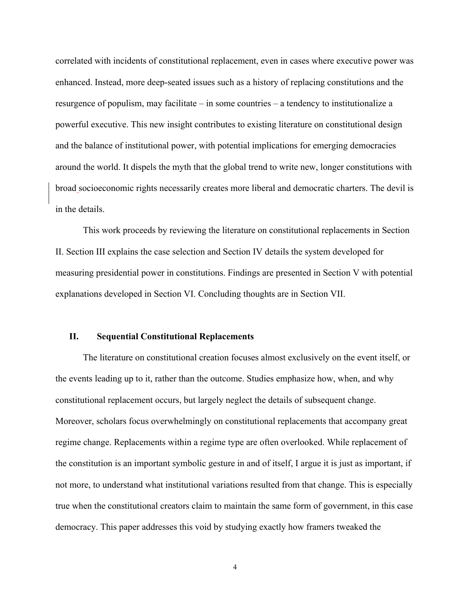correlated with incidents of constitutional replacement, even in cases where executive power was enhanced. Instead, more deep-seated issues such as a history of replacing constitutions and the resurgence of populism, may facilitate – in some countries – a tendency to institutionalize a powerful executive. This new insight contributes to existing literature on constitutional design and the balance of institutional power, with potential implications for emerging democracies around the world. It dispels the myth that the global trend to write new, longer constitutions with broad socioeconomic rights necessarily creates more liberal and democratic charters. The devil is in the details.

This work proceeds by reviewing the literature on constitutional replacements in Section II. Section III explains the case selection and Section IV details the system developed for measuring presidential power in constitutions. Findings are presented in Section V with potential explanations developed in Section VI. Concluding thoughts are in Section VII.

### **II. Sequential Constitutional Replacements**

The literature on constitutional creation focuses almost exclusively on the event itself, or the events leading up to it, rather than the outcome. Studies emphasize how, when, and why constitutional replacement occurs, but largely neglect the details of subsequent change. Moreover, scholars focus overwhelmingly on constitutional replacements that accompany great regime change. Replacements within a regime type are often overlooked. While replacement of the constitution is an important symbolic gesture in and of itself, I argue it is just as important, if not more, to understand what institutional variations resulted from that change. This is especially true when the constitutional creators claim to maintain the same form of government, in this case democracy. This paper addresses this void by studying exactly how framers tweaked the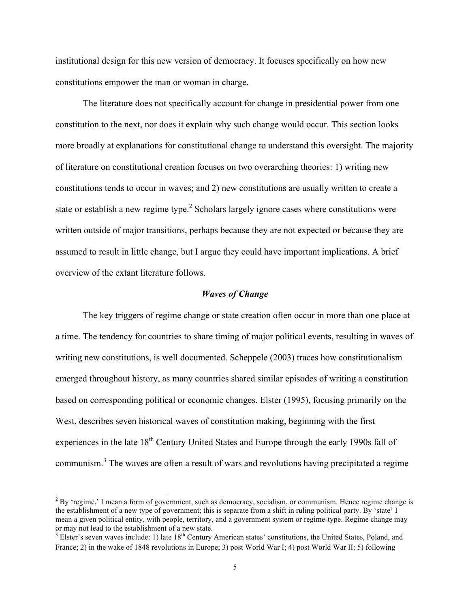institutional design for this new version of democracy. It focuses specifically on how new constitutions empower the man or woman in charge.

The literature does not specifically account for change in presidential power from one constitution to the next, nor does it explain why such change would occur. This section looks more broadly at explanations for constitutional change to understand this oversight. The majority of literature on constitutional creation focuses on two overarching theories: 1) writing new constitutions tends to occur in waves; and 2) new constitutions are usually written to create a state or establish a new regime type.<sup>2</sup> Scholars largely ignore cases where constitutions were written outside of major transitions, perhaps because they are not expected or because they are assumed to result in little change, but I argue they could have important implications. A brief overview of the extant literature follows.

### *Waves of Change*

The key triggers of regime change or state creation often occur in more than one place at a time. The tendency for countries to share timing of major political events, resulting in waves of writing new constitutions, is well documented. Scheppele (2003) traces how constitutionalism emerged throughout history, as many countries shared similar episodes of writing a constitution based on corresponding political or economic changes. Elster (1995), focusing primarily on the West, describes seven historical waves of constitution making, beginning with the first experiences in the late 18<sup>th</sup> Century United States and Europe through the early 1990s fall of communism.<sup>3</sup> The waves are often a result of wars and revolutions having precipitated a regime

 $2$  By 'regime,' I mean a form of government, such as democracy, socialism, or communism. Hence regime change is the establishment of a new type of government; this is separate from a shift in ruling political party. By 'state' I mean a given political entity, with people, territory, and a government system or regime-type. Regime change may or may not lead to the establishment of a new state.

 $3$  Elster's seven waves include: 1) late  $18<sup>th</sup>$  Century American states' constitutions, the United States, Poland, and France; 2) in the wake of 1848 revolutions in Europe; 3) post World War I; 4) post World War II; 5) following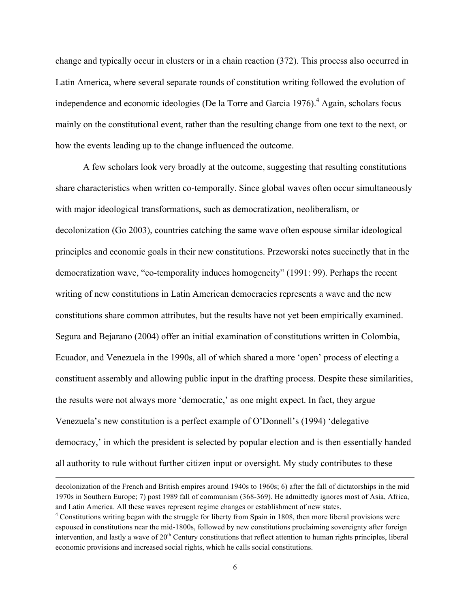change and typically occur in clusters or in a chain reaction (372). This process also occurred in Latin America, where several separate rounds of constitution writing followed the evolution of independence and economic ideologies (De la Torre and Garcia 1976). <sup>4</sup> Again, scholars focus mainly on the constitutional event, rather than the resulting change from one text to the next, or how the events leading up to the change influenced the outcome.

A few scholars look very broadly at the outcome, suggesting that resulting constitutions share characteristics when written co-temporally. Since global waves often occur simultaneously with major ideological transformations, such as democratization, neoliberalism, or decolonization (Go 2003), countries catching the same wave often espouse similar ideological principles and economic goals in their new constitutions. Przeworski notes succinctly that in the democratization wave, "co-temporality induces homogeneity" (1991: 99). Perhaps the recent writing of new constitutions in Latin American democracies represents a wave and the new constitutions share common attributes, but the results have not yet been empirically examined. Segura and Bejarano (2004) offer an initial examination of constitutions written in Colombia, Ecuador, and Venezuela in the 1990s, all of which shared a more 'open' process of electing a constituent assembly and allowing public input in the drafting process. Despite these similarities, the results were not always more 'democratic,' as one might expect. In fact, they argue Venezuela's new constitution is a perfect example of O'Donnell's (1994) 'delegative democracy,' in which the president is selected by popular election and is then essentially handed all authority to rule without further citizen input or oversight. My study contributes to these

!!!!!!!!!!!!!!!!!!!!!!!!!!!!!!!!!!!!!!!!!!!!!!!!!!!!!!!!!!!!!!!!!!!!!!!!!!!!!!!!!!!!!!!!!!!!!!!!!!!!!!!!!!!!!!!!!!!!!!!!!!!!!!!!!!!!!!!!!!!!!!!!!!!!!!!!!!!!!!!!!!!!!!!!!!!!!!!!!!!!!!!!!!!!!!!!!!!

decolonization of the French and British empires around 1940s to 1960s; 6) after the fall of dictatorships in the mid 1970s in Southern Europe; 7) post 1989 fall of communism (368-369). He admittedly ignores most of Asia, Africa, and Latin America. All these waves represent regime changes or establishment of new states.

<sup>4</sup> Constitutions writing began with the struggle for liberty from Spain in 1808, then more liberal provisions were espoused in constitutions near the mid-1800s, followed by new constitutions proclaiming sovereignty after foreign intervention, and lastly a wave of  $20<sup>th</sup>$  Century constitutions that reflect attention to human rights principles, liberal economic provisions and increased social rights, which he calls social constitutions.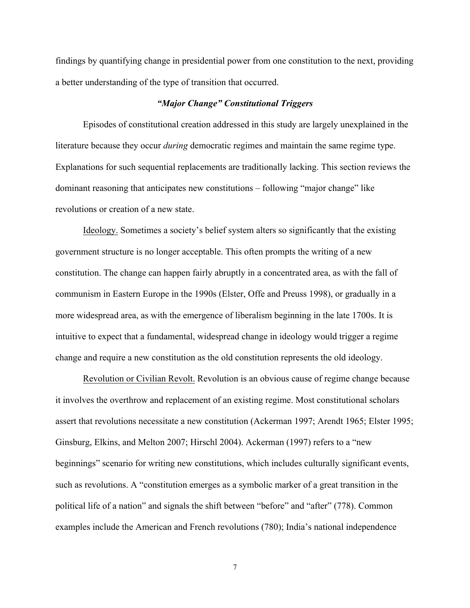findings by quantifying change in presidential power from one constitution to the next, providing a better understanding of the type of transition that occurred.

### *"Major Change" Constitutional Triggers*

Episodes of constitutional creation addressed in this study are largely unexplained in the literature because they occur *during* democratic regimes and maintain the same regime type. Explanations for such sequential replacements are traditionally lacking. This section reviews the dominant reasoning that anticipates new constitutions – following "major change" like revolutions or creation of a new state.

Ideology. Sometimes a society's belief system alters so significantly that the existing government structure is no longer acceptable. This often prompts the writing of a new constitution. The change can happen fairly abruptly in a concentrated area, as with the fall of communism in Eastern Europe in the 1990s (Elster, Offe and Preuss 1998), or gradually in a more widespread area, as with the emergence of liberalism beginning in the late 1700s. It is intuitive to expect that a fundamental, widespread change in ideology would trigger a regime change and require a new constitution as the old constitution represents the old ideology.

Revolution or Civilian Revolt. Revolution is an obvious cause of regime change because it involves the overthrow and replacement of an existing regime. Most constitutional scholars assert that revolutions necessitate a new constitution (Ackerman 1997; Arendt 1965; Elster 1995; Ginsburg, Elkins, and Melton 2007; Hirschl 2004). Ackerman (1997) refers to a "new beginnings" scenario for writing new constitutions, which includes culturally significant events, such as revolutions. A "constitution emerges as a symbolic marker of a great transition in the political life of a nation" and signals the shift between "before" and "after" (778). Common examples include the American and French revolutions (780); India's national independence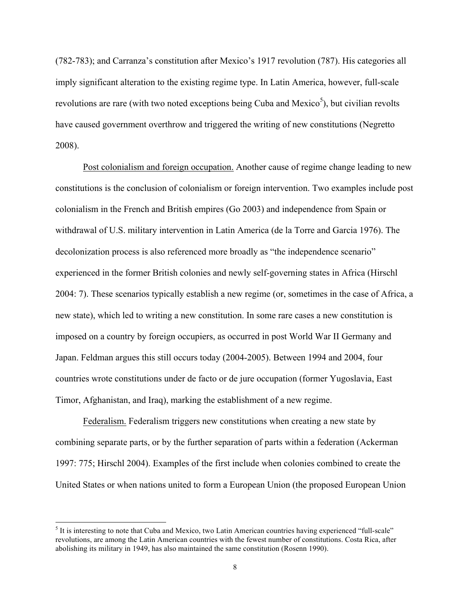(782-783); and Carranza's constitution after Mexico's 1917 revolution (787). His categories all imply significant alteration to the existing regime type. In Latin America, however, full-scale revolutions are rare (with two noted exceptions being Cuba and Mexico<sup>5</sup>), but civilian revolts have caused government overthrow and triggered the writing of new constitutions (Negretto 2008).

Post colonialism and foreign occupation. Another cause of regime change leading to new constitutions is the conclusion of colonialism or foreign intervention. Two examples include post colonialism in the French and British empires (Go 2003) and independence from Spain or withdrawal of U.S. military intervention in Latin America (de la Torre and Garcia 1976). The decolonization process is also referenced more broadly as "the independence scenario" experienced in the former British colonies and newly self-governing states in Africa (Hirschl 2004: 7). These scenarios typically establish a new regime (or, sometimes in the case of Africa, a new state), which led to writing a new constitution. In some rare cases a new constitution is imposed on a country by foreign occupiers, as occurred in post World War II Germany and Japan. Feldman argues this still occurs today (2004-2005). Between 1994 and 2004, four countries wrote constitutions under de facto or de jure occupation (former Yugoslavia, East Timor, Afghanistan, and Iraq), marking the establishment of a new regime.

Federalism. Federalism triggers new constitutions when creating a new state by combining separate parts, or by the further separation of parts within a federation (Ackerman 1997: 775; Hirschl 2004). Examples of the first include when colonies combined to create the United States or when nations united to form a European Union (the proposed European Union

<sup>&</sup>lt;sup>5</sup> It is interesting to note that Cuba and Mexico, two Latin American countries having experienced "full-scale" revolutions, are among the Latin American countries with the fewest number of constitutions. Costa Rica, after abolishing its military in 1949, has also maintained the same constitution (Rosenn 1990).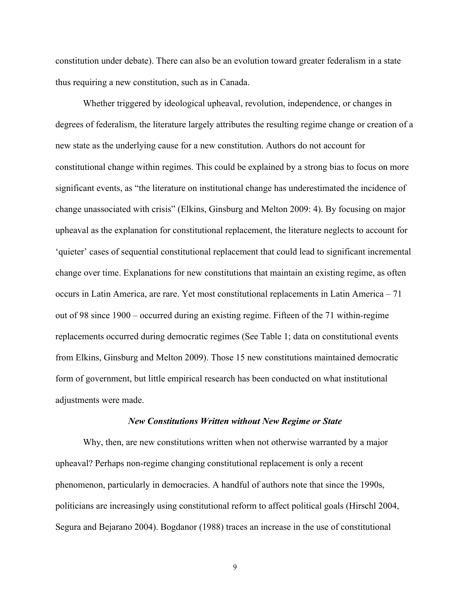constitution under debate). There can also be an evolution toward greater federalism in a state thus requiring a new constitution, such as in Canada.

Whether triggered by ideological upheaval, revolution, independence, or changes in degrees of federalism, the literature largely attributes the resulting regime change or creation of a new state as the underlying cause for a new constitution. Authors do not account for constitutional change within regimes. This could be explained by a strong bias to focus on more significant events, as "the literature on institutional change has underestimated the incidence of change unassociated with crisis" (Elkins, Ginsburg and Melton 2009: 4). By focusing on major upheaval as the explanation for constitutional replacement, the literature neglects to account for 'quieter' cases of sequential constitutional replacement that could lead to significant incremental change over time. Explanations for new constitutions that maintain an existing regime, as often occurs in Latin America, are rare. Yet most constitutional replacements in Latin America – 71 out of 98 since 1900 – occurred during an existing regime. Fifteen of the 71 within-regime replacements occurred during democratic regimes (See Table 1; data on constitutional events from Elkins, Ginsburg and Melton 2009). Those 15 new constitutions maintained democratic form of government, but little empirical research has been conducted on what institutional adjustments were made.

#### *New Constitutions Written without New Regime or State*

Why, then, are new constitutions written when not otherwise warranted by a major upheaval? Perhaps non-regime changing constitutional replacement is only a recent phenomenon, particularly in democracies. A handful of authors note that since the 1990s, politicians are increasingly using constitutional reform to affect political goals (Hirschl 2004, Segura and Bejarano 2004). Bogdanor (1988) traces an increase in the use of constitutional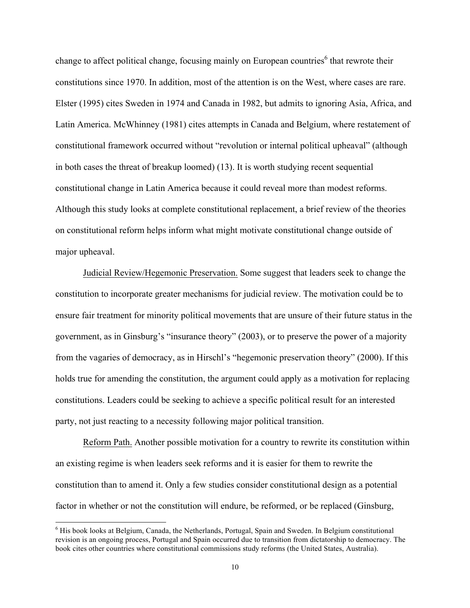change to affect political change, focusing mainly on European countries<sup> $6$ </sup> that rewrote their constitutions since 1970. In addition, most of the attention is on the West, where cases are rare. Elster (1995) cites Sweden in 1974 and Canada in 1982, but admits to ignoring Asia, Africa, and Latin America. McWhinney (1981) cites attempts in Canada and Belgium, where restatement of constitutional framework occurred without "revolution or internal political upheaval" (although in both cases the threat of breakup loomed) (13). It is worth studying recent sequential constitutional change in Latin America because it could reveal more than modest reforms. Although this study looks at complete constitutional replacement, a brief review of the theories on constitutional reform helps inform what might motivate constitutional change outside of major upheaval.

Judicial Review/Hegemonic Preservation. Some suggest that leaders seek to change the constitution to incorporate greater mechanisms for judicial review. The motivation could be to ensure fair treatment for minority political movements that are unsure of their future status in the government, as in Ginsburg's "insurance theory" (2003), or to preserve the power of a majority from the vagaries of democracy, as in Hirschl's "hegemonic preservation theory" (2000). If this holds true for amending the constitution, the argument could apply as a motivation for replacing constitutions. Leaders could be seeking to achieve a specific political result for an interested party, not just reacting to a necessity following major political transition.

Reform Path. Another possible motivation for a country to rewrite its constitution within an existing regime is when leaders seek reforms and it is easier for them to rewrite the constitution than to amend it. Only a few studies consider constitutional design as a potential factor in whether or not the constitution will endure, be reformed, or be replaced (Ginsburg,

<sup>&</sup>lt;sup>6</sup> His book looks at Belgium, Canada, the Netherlands, Portugal, Spain and Sweden. In Belgium constitutional revision is an ongoing process, Portugal and Spain occurred due to transition from dictatorship to democracy. The book cites other countries where constitutional commissions study reforms (the United States, Australia).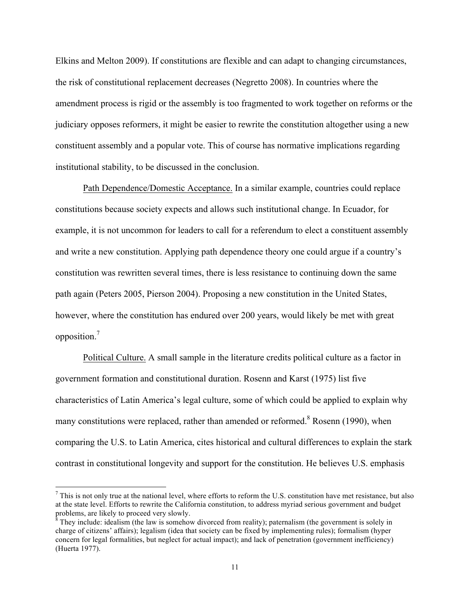Elkins and Melton 2009). If constitutions are flexible and can adapt to changing circumstances, the risk of constitutional replacement decreases (Negretto 2008). In countries where the amendment process is rigid or the assembly is too fragmented to work together on reforms or the judiciary opposes reformers, it might be easier to rewrite the constitution altogether using a new constituent assembly and a popular vote. This of course has normative implications regarding institutional stability, to be discussed in the conclusion.

Path Dependence/Domestic Acceptance. In a similar example, countries could replace constitutions because society expects and allows such institutional change. In Ecuador, for example, it is not uncommon for leaders to call for a referendum to elect a constituent assembly and write a new constitution. Applying path dependence theory one could argue if a country's constitution was rewritten several times, there is less resistance to continuing down the same path again (Peters 2005, Pierson 2004). Proposing a new constitution in the United States, however, where the constitution has endured over 200 years, would likely be met with great opposition.<sup>7</sup>

Political Culture. A small sample in the literature credits political culture as a factor in government formation and constitutional duration. Rosenn and Karst (1975) list five characteristics of Latin America's legal culture, some of which could be applied to explain why many constitutions were replaced, rather than amended or reformed.<sup>8</sup> Rosenn (1990), when comparing the U.S. to Latin America, cites historical and cultural differences to explain the stark contrast in constitutional longevity and support for the constitution. He believes U.S. emphasis

 $<sup>7</sup>$  This is not only true at the national level, where efforts to reform the U.S. constitution have met resistance, but also</sup> at the state level. Efforts to rewrite the California constitution, to address myriad serious government and budget problems, are likely to proceed very slowly.

 $\frac{8}{3}$  They include: idealism (the law is somehow divorced from reality); paternalism (the government is solely in charge of citizens' affairs); legalism (idea that society can be fixed by implementing rules); formalism (hyper concern for legal formalities, but neglect for actual impact); and lack of penetration (government inefficiency) (Huerta 1977).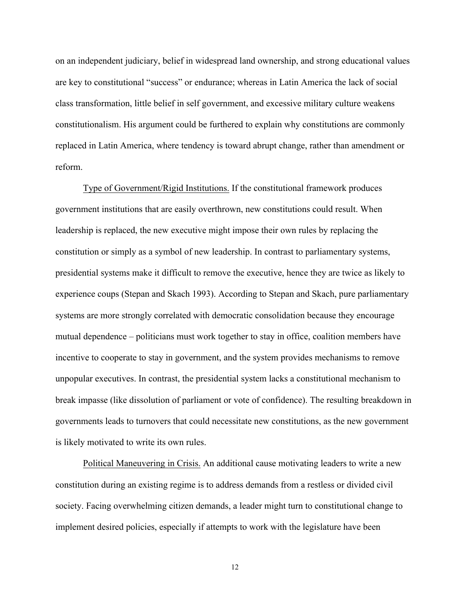on an independent judiciary, belief in widespread land ownership, and strong educational values are key to constitutional "success" or endurance; whereas in Latin America the lack of social class transformation, little belief in self government, and excessive military culture weakens constitutionalism. His argument could be furthered to explain why constitutions are commonly replaced in Latin America, where tendency is toward abrupt change, rather than amendment or reform.

Type of Government/Rigid Institutions. If the constitutional framework produces government institutions that are easily overthrown, new constitutions could result. When leadership is replaced, the new executive might impose their own rules by replacing the constitution or simply as a symbol of new leadership. In contrast to parliamentary systems, presidential systems make it difficult to remove the executive, hence they are twice as likely to experience coups (Stepan and Skach 1993). According to Stepan and Skach, pure parliamentary systems are more strongly correlated with democratic consolidation because they encourage mutual dependence – politicians must work together to stay in office, coalition members have incentive to cooperate to stay in government, and the system provides mechanisms to remove unpopular executives. In contrast, the presidential system lacks a constitutional mechanism to break impasse (like dissolution of parliament or vote of confidence). The resulting breakdown in governments leads to turnovers that could necessitate new constitutions, as the new government is likely motivated to write its own rules.

Political Maneuvering in Crisis. An additional cause motivating leaders to write a new constitution during an existing regime is to address demands from a restless or divided civil society. Facing overwhelming citizen demands, a leader might turn to constitutional change to implement desired policies, especially if attempts to work with the legislature have been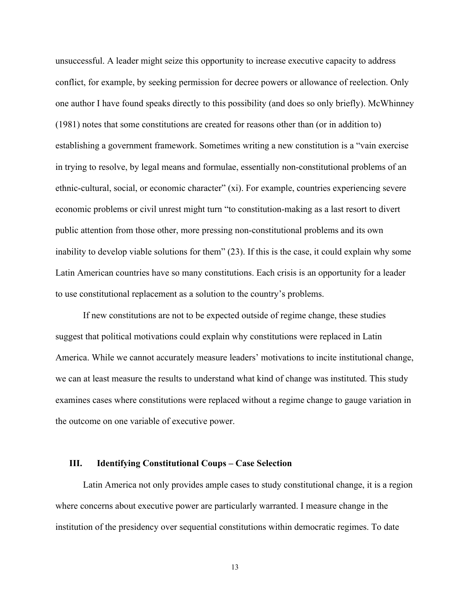unsuccessful. A leader might seize this opportunity to increase executive capacity to address conflict, for example, by seeking permission for decree powers or allowance of reelection. Only one author I have found speaks directly to this possibility (and does so only briefly). McWhinney (1981) notes that some constitutions are created for reasons other than (or in addition to) establishing a government framework. Sometimes writing a new constitution is a "vain exercise in trying to resolve, by legal means and formulae, essentially non-constitutional problems of an ethnic-cultural, social, or economic character" (xi). For example, countries experiencing severe economic problems or civil unrest might turn "to constitution-making as a last resort to divert public attention from those other, more pressing non-constitutional problems and its own inability to develop viable solutions for them" (23). If this is the case, it could explain why some Latin American countries have so many constitutions. Each crisis is an opportunity for a leader to use constitutional replacement as a solution to the country's problems.

If new constitutions are not to be expected outside of regime change, these studies suggest that political motivations could explain why constitutions were replaced in Latin America. While we cannot accurately measure leaders' motivations to incite institutional change, we can at least measure the results to understand what kind of change was instituted. This study examines cases where constitutions were replaced without a regime change to gauge variation in the outcome on one variable of executive power.

### **III. Identifying Constitutional Coups – Case Selection**

Latin America not only provides ample cases to study constitutional change, it is a region where concerns about executive power are particularly warranted. I measure change in the institution of the presidency over sequential constitutions within democratic regimes. To date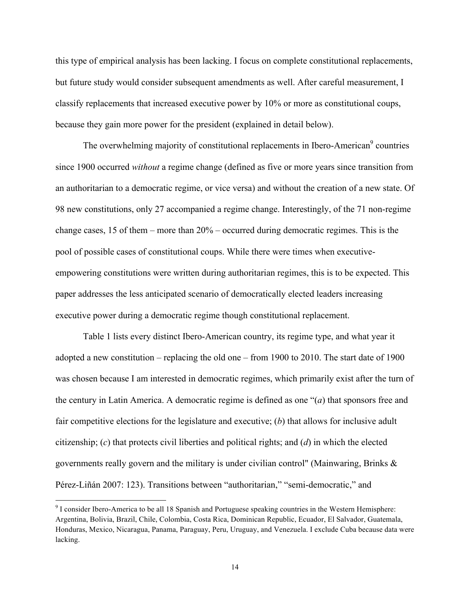this type of empirical analysis has been lacking. I focus on complete constitutional replacements, but future study would consider subsequent amendments as well. After careful measurement, I classify replacements that increased executive power by 10% or more as constitutional coups, because they gain more power for the president (explained in detail below).

The overwhelming majority of constitutional replacements in Ibero-American<sup>9</sup> countries since 1900 occurred *without* a regime change (defined as five or more years since transition from an authoritarian to a democratic regime, or vice versa) and without the creation of a new state. Of 98 new constitutions, only 27 accompanied a regime change. Interestingly, of the 71 non-regime change cases, 15 of them – more than 20% – occurred during democratic regimes. This is the pool of possible cases of constitutional coups. While there were times when executiveempowering constitutions were written during authoritarian regimes, this is to be expected. This paper addresses the less anticipated scenario of democratically elected leaders increasing executive power during a democratic regime though constitutional replacement.

Table 1 lists every distinct Ibero-American country, its regime type, and what year it adopted a new constitution – replacing the old one – from 1900 to 2010. The start date of 1900 was chosen because I am interested in democratic regimes, which primarily exist after the turn of the century in Latin America. A democratic regime is defined as one "(*a*) that sponsors free and fair competitive elections for the legislature and executive; (*b*) that allows for inclusive adult citizenship; (*c*) that protects civil liberties and political rights; and (*d*) in which the elected governments really govern and the military is under civilian control" (Mainwaring, Brinks & Pérez-Liñán 2007: 123). Transitions between "authoritarian," "semi-democratic," and

<sup>&</sup>lt;sup>9</sup> I consider Ibero-America to be all 18 Spanish and Portuguese speaking countries in the Western Hemisphere: Argentina, Bolivia, Brazil, Chile, Colombia, Costa Rica, Dominican Republic, Ecuador, El Salvador, Guatemala, Honduras, Mexico, Nicaragua, Panama, Paraguay, Peru, Uruguay, and Venezuela. I exclude Cuba because data were lacking.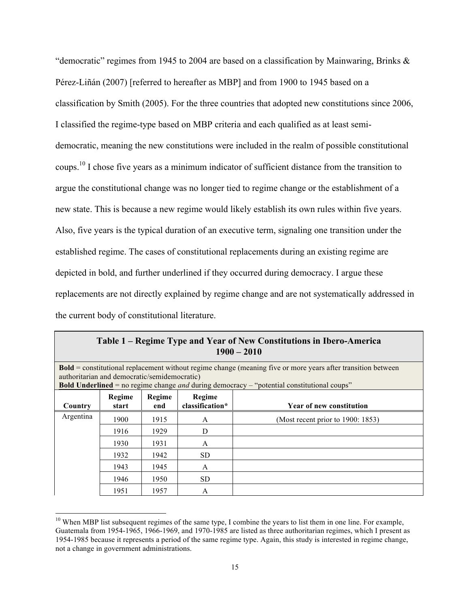"democratic" regimes from 1945 to 2004 are based on a classification by Mainwaring, Brinks & Pérez-Liñán (2007) [referred to hereafter as MBP] and from 1900 to 1945 based on a classification by Smith (2005). For the three countries that adopted new constitutions since 2006, I classified the regime-type based on MBP criteria and each qualified as at least semidemocratic, meaning the new constitutions were included in the realm of possible constitutional coups.<sup>10</sup> I chose five years as a minimum indicator of sufficient distance from the transition to argue the constitutional change was no longer tied to regime change or the establishment of a new state. This is because a new regime would likely establish its own rules within five years. Also, five years is the typical duration of an executive term, signaling one transition under the established regime. The cases of constitutional replacements during an existing regime are depicted in bold, and further underlined if they occurred during democracy. I argue these replacements are not directly explained by regime change and are not systematically addressed in the current body of constitutional literature.

|                                                                                                                                                                     | Table 1 – Regime Type and Year of New Constitutions in Ibero-America<br>$1900 - 2010$ |               |                           |                                                                                                          |  |  |  |  |  |  |
|---------------------------------------------------------------------------------------------------------------------------------------------------------------------|---------------------------------------------------------------------------------------|---------------|---------------------------|----------------------------------------------------------------------------------------------------------|--|--|--|--|--|--|
| <b>Bold</b> = constitutional replacement without regime change (meaning five or more years after transition between<br>authoritarian and democratic/semidemocratic) |                                                                                       |               |                           |                                                                                                          |  |  |  |  |  |  |
|                                                                                                                                                                     |                                                                                       |               |                           | <b>Bold Underlined</b> = no regime change <i>and</i> during democracy – "potential constitutional coups" |  |  |  |  |  |  |
| Country                                                                                                                                                             | Regime<br>start                                                                       | Regime<br>end | Regime<br>classification* | Year of new constitution                                                                                 |  |  |  |  |  |  |
| Argentina                                                                                                                                                           | 1900                                                                                  | 1915          | A                         | (Most recent prior to 1900: 1853)                                                                        |  |  |  |  |  |  |
|                                                                                                                                                                     | 1916<br>1929<br>1930<br>1931                                                          |               | D                         |                                                                                                          |  |  |  |  |  |  |
|                                                                                                                                                                     |                                                                                       |               | A                         |                                                                                                          |  |  |  |  |  |  |
|                                                                                                                                                                     | 1932                                                                                  | 1942          | <b>SD</b>                 |                                                                                                          |  |  |  |  |  |  |
|                                                                                                                                                                     | 1943                                                                                  | 1945          | A                         |                                                                                                          |  |  |  |  |  |  |
|                                                                                                                                                                     | 1946                                                                                  | 1950          | <b>SD</b>                 |                                                                                                          |  |  |  |  |  |  |
|                                                                                                                                                                     | 1951                                                                                  | 1957          | A                         |                                                                                                          |  |  |  |  |  |  |

| Table 1 – Regime Type and Year of New Constitutions in Ibero-America |
|----------------------------------------------------------------------|
| $1900 - 2010$                                                        |

 $10$  When MBP list subsequent regimes of the same type, I combine the years to list them in one line. For example, Guatemala from 1954-1965, 1966-1969, and 1970-1985 are listed as three authoritarian regimes, which I present as 1954-1985 because it represents a period of the same regime type. Again, this study is interested in regime change, not a change in government administrations.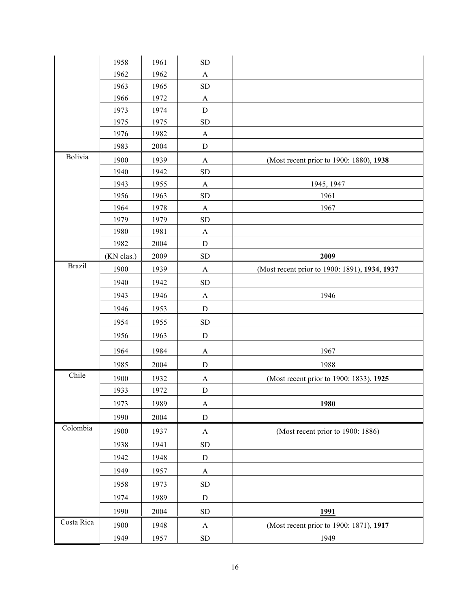|               | 1958       | 1961 | <b>SD</b>             |                                               |
|---------------|------------|------|-----------------------|-----------------------------------------------|
|               | 1962       | 1962 | $\mathbf{A}$          |                                               |
|               | 1963       | 1965 | ${\rm SD}$            |                                               |
|               | 1966       | 1972 | $\mathbf{A}$          |                                               |
|               | 1973       | 1974 | $\mathbf D$           |                                               |
|               | 1975       | 1975 | SD                    |                                               |
|               | 1976       | 1982 | $\mathbf{A}$          |                                               |
|               | 1983       | 2004 | $\mathbf D$           |                                               |
| Bolivia       | 1900       | 1939 | $\mathbf{A}$          | (Most recent prior to 1900: 1880), 1938       |
|               | 1940       | 1942 | <b>SD</b>             |                                               |
|               | 1943       | 1955 | $\mathbf{A}$          | 1945, 1947                                    |
|               | 1956       | 1963 | <b>SD</b>             | 1961                                          |
|               | 1964       | 1978 | A                     | 1967                                          |
|               | 1979       | 1979 | ${\rm SD}$            |                                               |
|               | 1980       | 1981 | $\mathbf{A}$          |                                               |
|               | 1982       | 2004 | $\mathbf D$           |                                               |
|               | (KN clas.) | 2009 | ${\rm SD}$            | 2009                                          |
| <b>Brazil</b> | 1900       | 1939 | $\mathbf{A}$          | (Most recent prior to 1900: 1891), 1934, 1937 |
|               | 1940       | 1942 | ${\rm SD}$            |                                               |
|               | 1943       | 1946 | $\mathbf{A}$          | 1946                                          |
|               | 1946       | 1953 | ${\bf D}$             |                                               |
|               | 1954       | 1955 | SD                    |                                               |
|               | 1956       | 1963 | ${\rm D}$             |                                               |
|               | 1964       | 1984 | A                     | 1967                                          |
|               | 1985       | 2004 | ${\bf D}$             | 1988                                          |
| Chile         | 1900       | 1932 | A                     | (Most recent prior to 1900: 1833), 1925       |
|               | 1933       | 1972 | ${\bf D}$             |                                               |
|               | 1973       | 1989 | $\boldsymbol{\rm{A}}$ | 1980                                          |
|               | 1990       | 2004 | $\mathbf D$           |                                               |
| Colombia      | 1900       | 1937 | $\boldsymbol{\rm{A}}$ | (Most recent prior to 1900: 1886)             |
|               | 1938       | 1941 | <b>SD</b>             |                                               |
|               | 1942       | 1948 | $\mathbf D$           |                                               |
|               | 1949       | 1957 | $\mathbf{A}$          |                                               |
|               | 1958       | 1973 | ${\rm SD}$            |                                               |
|               | 1974       | 1989 | ${\bf D}$             |                                               |
|               | 1990       | 2004 | <b>SD</b>             | 1991                                          |
| Costa Rica    | 1900       | 1948 | $\mathbf{A}$          | (Most recent prior to 1900: 1871), 1917       |
|               | 1949       | 1957 | ${\rm SD}$            | 1949                                          |
|               |            |      |                       |                                               |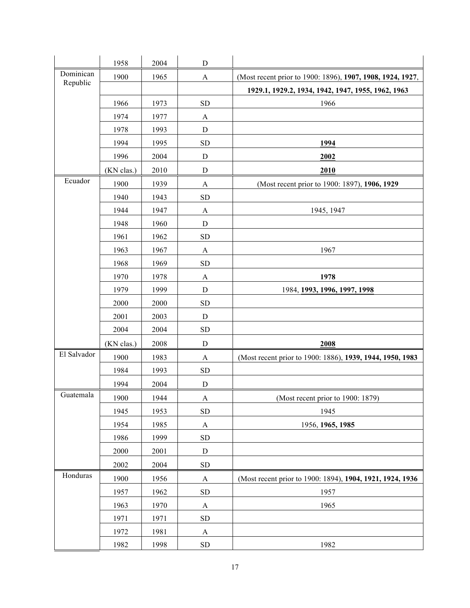|             | 1958       | 2004 | $\mathbf D$      |                                                            |
|-------------|------------|------|------------------|------------------------------------------------------------|
| Dominican   | 1900       | 1965 | $\mathbf{A}$     | (Most recent prior to 1900: 1896), 1907, 1908, 1924, 1927, |
| Republic    |            |      |                  | 1929.1, 1929.2, 1934, 1942, 1947, 1955, 1962, 1963         |
|             | 1966       | 1973 | <b>SD</b>        | 1966                                                       |
|             | 1974       | 1977 | A                |                                                            |
|             | 1978       | 1993 | D                |                                                            |
|             | 1994       | 1995 | <b>SD</b>        | 1994                                                       |
|             | 1996       | 2004 | D                | 2002                                                       |
|             | (KN clas.) | 2010 | D                | 2010                                                       |
| Ecuador     | 1900       | 1939 | A                | (Most recent prior to 1900: 1897), 1906, 1929              |
|             | 1940       | 1943 | <b>SD</b>        |                                                            |
|             | 1944       | 1947 | A                | 1945, 1947                                                 |
|             | 1948       | 1960 | $\mathbf D$      |                                                            |
|             | 1961       | 1962 | <b>SD</b>        |                                                            |
|             | 1963       | 1967 | A                | 1967                                                       |
|             | 1968       | 1969 | <b>SD</b>        |                                                            |
|             | 1970       | 1978 | $\boldsymbol{A}$ | 1978                                                       |
|             | 1979       | 1999 | D                | 1984, 1993, 1996, 1997, 1998                               |
|             | 2000       | 2000 | <b>SD</b>        |                                                            |
|             | 2001       | 2003 | $\mathbf D$      |                                                            |
|             | 2004       | 2004 | <b>SD</b>        |                                                            |
|             | (KN clas.) | 2008 | $\mathbf D$      | 2008                                                       |
| El Salvador | 1900       | 1983 | A                | (Most recent prior to 1900: 1886), 1939, 1944, 1950, 1983  |
|             | 1984       | 1993 | ${\rm SD}$       |                                                            |
|             | 1994       | 2004 | $\mathbf D$      |                                                            |
| Guatemala   | 1900       | 1944 | A                | (Most recent prior to 1900: 1879)                          |
|             | 1945       | 1953 | <b>SD</b>        | 1945                                                       |
|             | 1954       | 1985 | $\mathbf{A}$     | 1956, 1965, 1985                                           |
|             | 1986       | 1999 | <b>SD</b>        |                                                            |
|             | 2000       | 2001 | ${\bf D}$        |                                                            |
|             | 2002       | 2004 | <b>SD</b>        |                                                            |
| Honduras    | 1900       | 1956 | $\mathbf{A}$     | (Most recent prior to 1900: 1894), 1904, 1921, 1924, 1936  |
|             | 1957       | 1962 | <b>SD</b>        | 1957                                                       |
|             | 1963       | 1970 | A                | 1965                                                       |
|             | 1971       | 1971 | SD               |                                                            |
|             | 1972       | 1981 | A                |                                                            |
|             | 1982       | 1998 | SD               | 1982                                                       |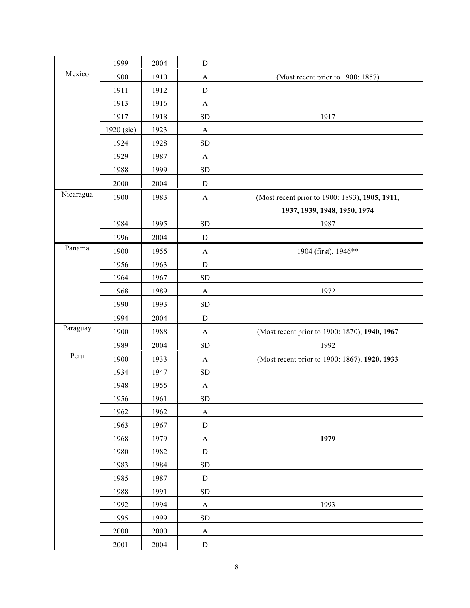|           | 1999         | 2004 | ${\bf D}$    |                                                |
|-----------|--------------|------|--------------|------------------------------------------------|
| Mexico    | 1900         | 1910 | $\mathbf{A}$ | (Most recent prior to 1900: 1857)              |
|           | 1911         | 1912 | $\mathbf D$  |                                                |
|           | 1913         | 1916 | $\mathbf{A}$ |                                                |
|           | 1917         | 1918 | <b>SD</b>    | 1917                                           |
|           | $1920$ (sic) | 1923 | A            |                                                |
|           | 1924         | 1928 | <b>SD</b>    |                                                |
|           | 1929         | 1987 | $\mathbf{A}$ |                                                |
|           | 1988         | 1999 | <b>SD</b>    |                                                |
|           | 2000         | 2004 | ${\bf D}$    |                                                |
| Nicaragua | 1900         | 1983 | $\mathbf{A}$ | (Most recent prior to 1900: 1893), 1905, 1911, |
|           |              |      |              | 1937, 1939, 1948, 1950, 1974                   |
|           | 1984         | 1995 | ${\rm SD}$   | 1987                                           |
|           | 1996         | 2004 | $\mathbf D$  |                                                |
| Panama    | 1900         | 1955 | $\mathbf{A}$ | 1904 (first), 1946**                           |
|           | 1956         | 1963 | ${\bf D}$    |                                                |
|           | 1964         | 1967 | ${\rm SD}$   |                                                |
|           | 1968         | 1989 | $\mathbf{A}$ | 1972                                           |
|           | 1990         | 1993 | <b>SD</b>    |                                                |
|           | 1994         | 2004 | $\mathbf D$  |                                                |
| Paraguay  | 1900         | 1988 | $\mathbf{A}$ | (Most recent prior to 1900: 1870), 1940, 1967  |
|           | 1989         | 2004 | <b>SD</b>    | 1992                                           |
| Peru      | 1900         | 1933 | $\mathbf{A}$ | (Most recent prior to 1900: 1867), 1920, 1933  |
|           | 1934         | 1947 | <b>SD</b>    |                                                |
|           | 1948         | 1955 | $\mathbf{A}$ |                                                |
|           | 1956         | 1961 | ${\rm SD}$   |                                                |
|           | 1962         | 1962 | A            |                                                |
|           | 1963         | 1967 | ${\bf D}$    |                                                |
|           | 1968         | 1979 | $\mathbf{A}$ | 1979                                           |
|           | 1980         | 1982 | $\mathbf D$  |                                                |
|           | 1983         | 1984 | ${\rm SD}$   |                                                |
|           | 1985         | 1987 | ${\bf D}$    |                                                |
|           | 1988         | 1991 | ${\rm SD}$   |                                                |
|           | 1992         | 1994 | $\mathbf{A}$ | 1993                                           |
|           | 1995         | 1999 | ${\rm SD}$   |                                                |
|           | 2000         | 2000 | $\mathbf{A}$ |                                                |
|           | 2001         | 2004 | ${\bf D}$    |                                                |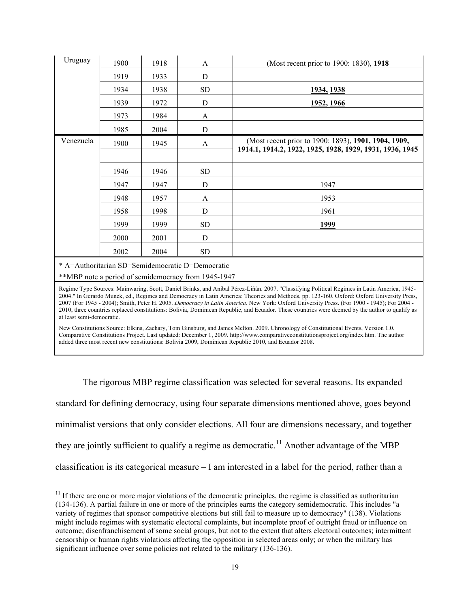| Uruguay                                                                                                                                                                                                                                                                                                                                                                                                                                                                                                                                                                                                                | 1900 | 1918 | A                                                                                                       | (Most recent prior to 1900: 1830), 1918                                                                                                                                                                                                                                                                                                                                              |  |  |  |
|------------------------------------------------------------------------------------------------------------------------------------------------------------------------------------------------------------------------------------------------------------------------------------------------------------------------------------------------------------------------------------------------------------------------------------------------------------------------------------------------------------------------------------------------------------------------------------------------------------------------|------|------|---------------------------------------------------------------------------------------------------------|--------------------------------------------------------------------------------------------------------------------------------------------------------------------------------------------------------------------------------------------------------------------------------------------------------------------------------------------------------------------------------------|--|--|--|
|                                                                                                                                                                                                                                                                                                                                                                                                                                                                                                                                                                                                                        | 1919 | 1933 | D                                                                                                       |                                                                                                                                                                                                                                                                                                                                                                                      |  |  |  |
|                                                                                                                                                                                                                                                                                                                                                                                                                                                                                                                                                                                                                        | 1934 | 1938 | <b>SD</b>                                                                                               | 1934, 1938                                                                                                                                                                                                                                                                                                                                                                           |  |  |  |
|                                                                                                                                                                                                                                                                                                                                                                                                                                                                                                                                                                                                                        | 1939 | 1972 | D                                                                                                       | 1952, 1966                                                                                                                                                                                                                                                                                                                                                                           |  |  |  |
|                                                                                                                                                                                                                                                                                                                                                                                                                                                                                                                                                                                                                        | 1973 | 1984 | A                                                                                                       |                                                                                                                                                                                                                                                                                                                                                                                      |  |  |  |
|                                                                                                                                                                                                                                                                                                                                                                                                                                                                                                                                                                                                                        | 1985 | 2004 | D                                                                                                       |                                                                                                                                                                                                                                                                                                                                                                                      |  |  |  |
| Venezuela                                                                                                                                                                                                                                                                                                                                                                                                                                                                                                                                                                                                              | 1900 | 1945 | A                                                                                                       | (Most recent prior to 1900: 1893), 1901, 1904, 1909,<br>1914.1, 1914.2, 1922, 1925, 1928, 1929, 1931, 1936, 1945                                                                                                                                                                                                                                                                     |  |  |  |
|                                                                                                                                                                                                                                                                                                                                                                                                                                                                                                                                                                                                                        | 1946 | 1946 | <b>SD</b>                                                                                               |                                                                                                                                                                                                                                                                                                                                                                                      |  |  |  |
|                                                                                                                                                                                                                                                                                                                                                                                                                                                                                                                                                                                                                        | 1947 | 1947 | D                                                                                                       | 1947                                                                                                                                                                                                                                                                                                                                                                                 |  |  |  |
|                                                                                                                                                                                                                                                                                                                                                                                                                                                                                                                                                                                                                        | 1948 | 1957 | A                                                                                                       | 1953                                                                                                                                                                                                                                                                                                                                                                                 |  |  |  |
|                                                                                                                                                                                                                                                                                                                                                                                                                                                                                                                                                                                                                        | 1958 | 1998 | D                                                                                                       | 1961                                                                                                                                                                                                                                                                                                                                                                                 |  |  |  |
|                                                                                                                                                                                                                                                                                                                                                                                                                                                                                                                                                                                                                        | 1999 | 1999 | <b>SD</b>                                                                                               | 1999                                                                                                                                                                                                                                                                                                                                                                                 |  |  |  |
|                                                                                                                                                                                                                                                                                                                                                                                                                                                                                                                                                                                                                        | 2000 | 2001 | D                                                                                                       |                                                                                                                                                                                                                                                                                                                                                                                      |  |  |  |
|                                                                                                                                                                                                                                                                                                                                                                                                                                                                                                                                                                                                                        | 2002 | 2004 | <b>SD</b>                                                                                               |                                                                                                                                                                                                                                                                                                                                                                                      |  |  |  |
|                                                                                                                                                                                                                                                                                                                                                                                                                                                                                                                                                                                                                        |      |      | * A=Authoritarian SD=Semidemocratic D=Democratic<br>**MBP note a period of semidemocracy from 1945-1947 |                                                                                                                                                                                                                                                                                                                                                                                      |  |  |  |
| Regime Type Sources: Mainwaring, Scott, Daniel Brinks, and Aníbal Pérez-Liñán. 2007. "Classifying Political Regimes in Latin America, 1945-<br>2004." In Gerardo Munck, ed., Regimes and Democracy in Latin America: Theories and Methods, pp. 123-160. Oxford: Oxford University Press,<br>2007 (For 1945 - 2004); Smith, Peter H. 2005. Democracy in Latin America. New York: Oxford University Press. (For 1900 - 1945); For 2004 -<br>2010, three countries replaced constitutions: Bolivia, Dominican Republic, and Ecuador. These countries were deemed by the author to qualify as<br>at least semi-democratic. |      |      |                                                                                                         |                                                                                                                                                                                                                                                                                                                                                                                      |  |  |  |
|                                                                                                                                                                                                                                                                                                                                                                                                                                                                                                                                                                                                                        |      |      |                                                                                                         | New Constitutions Source: Elkins, Zachary, Tom Ginsburg, and James Melton. 2009. Chronology of Constitutional Events, Version 1.0.<br>Comparative Constitutions Project. Last updated: December 1, 2009. http://www.comparativeconstitutionsproject.org/index.htm. The author<br>added three most recent new constitutions: Bolivia 2009, Dominican Republic 2010, and Ecuador 2008. |  |  |  |

The rigorous MBP regime classification was selected for several reasons. Its expanded standard for defining democracy, using four separate dimensions mentioned above, goes beyond minimalist versions that only consider elections. All four are dimensions necessary, and together they are jointly sufficient to qualify a regime as democratic.<sup>11</sup> Another advantage of the MBP classification is its categorical measure – I am interested in a label for the period, rather than a

<sup>!!!!!!!!!!!!!!!!!!!!!!!!!!!!!!!!!!!!!!!!!!!!!!!!!!!!!!!!!!!!</sup>  $11$  If there are one or more major violations of the democratic principles, the regime is classified as authoritarian (134-136). A partial failure in one or more of the principles earns the category semidemocratic. This includes "a variety of regimes that sponsor competitive elections but still fail to measure up to democracy" (138). Violations might include regimes with systematic electoral complaints, but incomplete proof of outright fraud or influence on outcome; disenfranchisement of some social groups, but not to the extent that alters electoral outcomes; intermittent censorship or human rights violations affecting the opposition in selected areas only; or when the military has significant influence over some policies not related to the military (136-136).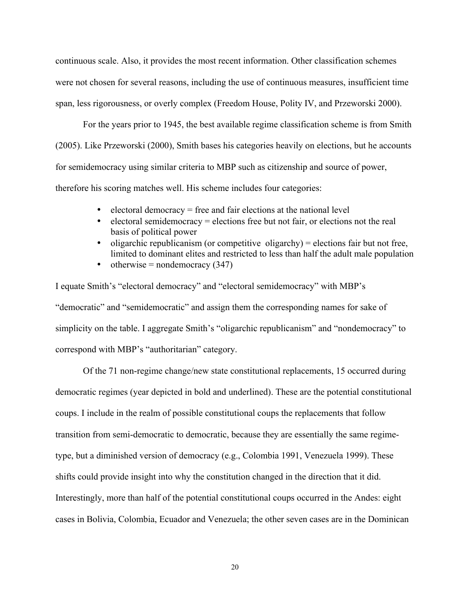continuous scale. Also, it provides the most recent information. Other classification schemes were not chosen for several reasons, including the use of continuous measures, insufficient time span, less rigorousness, or overly complex (Freedom House, Polity IV, and Przeworski 2000).

For the years prior to 1945, the best available regime classification scheme is from Smith (2005). Like Przeworski (2000), Smith bases his categories heavily on elections, but he accounts for semidemocracy using similar criteria to MBP such as citizenship and source of power, therefore his scoring matches well. His scheme includes four categories:

- electoral democracy = free and fair elections at the national level
- electoral semidemocracy = elections free but not fair, or elections not the real basis of political power
- oligarchic republicanism (or competitive oligarchy) = elections fair but not free, limited to dominant elites and restricted to less than half the adult male population
- otherwise = nondemocracy  $(347)$

I equate Smith's "electoral democracy" and "electoral semidemocracy" with MBP's "democratic" and "semidemocratic" and assign them the corresponding names for sake of simplicity on the table. I aggregate Smith's "oligarchic republicanism" and "nondemocracy" to correspond with MBP's "authoritarian" category.

Of the 71 non-regime change/new state constitutional replacements, 15 occurred during democratic regimes (year depicted in bold and underlined). These are the potential constitutional coups. I include in the realm of possible constitutional coups the replacements that follow transition from semi-democratic to democratic, because they are essentially the same regimetype, but a diminished version of democracy (e.g., Colombia 1991, Venezuela 1999). These shifts could provide insight into why the constitution changed in the direction that it did. Interestingly, more than half of the potential constitutional coups occurred in the Andes: eight cases in Bolivia, Colombia, Ecuador and Venezuela; the other seven cases are in the Dominican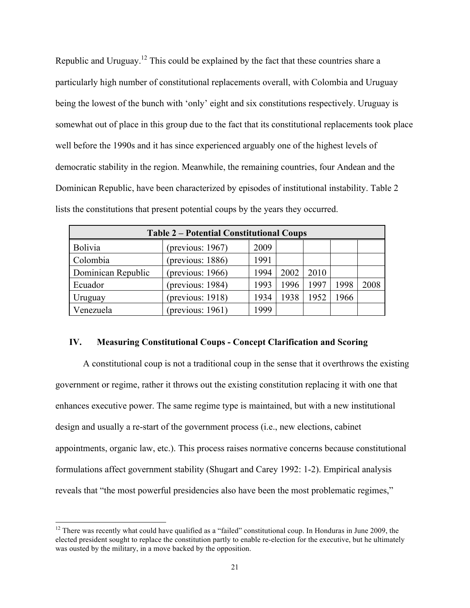Republic and Uruguay.<sup>12</sup> This could be explained by the fact that these countries share a particularly high number of constitutional replacements overall, with Colombia and Uruguay being the lowest of the bunch with 'only' eight and six constitutions respectively. Uruguay is somewhat out of place in this group due to the fact that its constitutional replacements took place well before the 1990s and it has since experienced arguably one of the highest levels of democratic stability in the region. Meanwhile, the remaining countries, four Andean and the Dominican Republic, have been characterized by episodes of institutional instability. Table 2 lists the constitutions that present potential coups by the years they occurred.

| <b>Table 2 – Potential Constitutional Coups</b> |                     |      |      |      |      |      |  |  |
|-------------------------------------------------|---------------------|------|------|------|------|------|--|--|
| <b>Bolivia</b>                                  | (previous: $1967$ ) | 2009 |      |      |      |      |  |  |
| Colombia                                        | (previous: $1886$ ) | 1991 |      |      |      |      |  |  |
| Dominican Republic                              | (previous: $1966$ ) | 1994 | 2002 | 2010 |      |      |  |  |
| Ecuador                                         | (previous: 1984)    | 1993 | 1996 | 1997 | 1998 | 2008 |  |  |
| Uruguay                                         | (previous: $1918$ ) | 1934 | 1938 | 1952 | 1966 |      |  |  |
| Venezuela                                       | (previous: $1961$ ) | 1999 |      |      |      |      |  |  |

# **IV. Measuring Constitutional Coups - Concept Clarification and Scoring**

A constitutional coup is not a traditional coup in the sense that it overthrows the existing government or regime, rather it throws out the existing constitution replacing it with one that enhances executive power. The same regime type is maintained, but with a new institutional design and usually a re-start of the government process (i.e., new elections, cabinet appointments, organic law, etc.). This process raises normative concerns because constitutional formulations affect government stability (Shugart and Carey 1992: 1-2). Empirical analysis reveals that "the most powerful presidencies also have been the most problematic regimes,"

<sup>&</sup>lt;sup>12</sup> There was recently what could have qualified as a "failed" constitutional coup. In Honduras in June 2009, the elected president sought to replace the constitution partly to enable re-election for the executive, but he ultimately was ousted by the military, in a move backed by the opposition.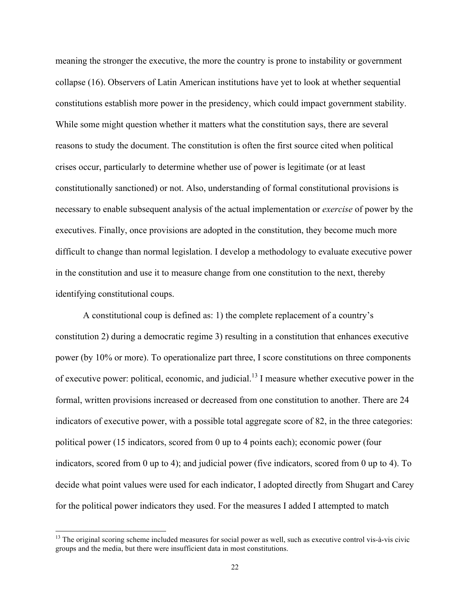meaning the stronger the executive, the more the country is prone to instability or government collapse (16). Observers of Latin American institutions have yet to look at whether sequential constitutions establish more power in the presidency, which could impact government stability. While some might question whether it matters what the constitution says, there are several reasons to study the document. The constitution is often the first source cited when political crises occur, particularly to determine whether use of power is legitimate (or at least constitutionally sanctioned) or not. Also, understanding of formal constitutional provisions is necessary to enable subsequent analysis of the actual implementation or *exercise* of power by the executives. Finally, once provisions are adopted in the constitution, they become much more difficult to change than normal legislation. I develop a methodology to evaluate executive power in the constitution and use it to measure change from one constitution to the next, thereby identifying constitutional coups.

A constitutional coup is defined as: 1) the complete replacement of a country's constitution 2) during a democratic regime 3) resulting in a constitution that enhances executive power (by 10% or more). To operationalize part three, I score constitutions on three components of executive power: political, economic, and judicial.<sup>13</sup> I measure whether executive power in the formal, written provisions increased or decreased from one constitution to another. There are 24 indicators of executive power, with a possible total aggregate score of 82, in the three categories: political power (15 indicators, scored from 0 up to 4 points each); economic power (four indicators, scored from 0 up to 4); and judicial power (five indicators, scored from 0 up to 4). To decide what point values were used for each indicator, I adopted directly from Shugart and Carey for the political power indicators they used. For the measures I added I attempted to match

 $13$  The original scoring scheme included measures for social power as well, such as executive control vis-à-vis civic groups and the media, but there were insufficient data in most constitutions.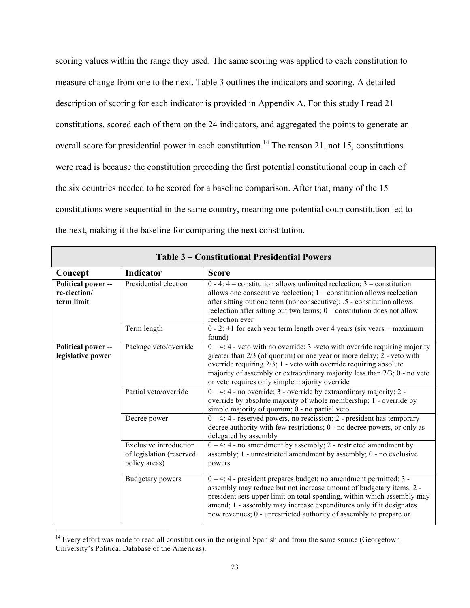scoring values within the range they used. The same scoring was applied to each constitution to measure change from one to the next. Table 3 outlines the indicators and scoring. A detailed description of scoring for each indicator is provided in Appendix A. For this study I read 21 constitutions, scored each of them on the 24 indicators, and aggregated the points to generate an overall score for presidential power in each constitution.<sup>14</sup> The reason 21, not 15, constitutions were read is because the constitution preceding the first potential constitutional coup in each of the six countries needed to be scored for a baseline comparison. After that, many of the 15 constitutions were sequential in the same country, meaning one potential coup constitution led to the next, making it the baseline for comparing the next constitution.

| <b>Table 3 – Constitutional Presidential Powers</b> |                                                                                                                                                                                                                                                                                                                                                                                           |                                                                                                                                                                                                                                                                                                                                                                     |  |  |  |  |  |  |
|-----------------------------------------------------|-------------------------------------------------------------------------------------------------------------------------------------------------------------------------------------------------------------------------------------------------------------------------------------------------------------------------------------------------------------------------------------------|---------------------------------------------------------------------------------------------------------------------------------------------------------------------------------------------------------------------------------------------------------------------------------------------------------------------------------------------------------------------|--|--|--|--|--|--|
| Concept                                             | <b>Indicator</b>                                                                                                                                                                                                                                                                                                                                                                          | <b>Score</b>                                                                                                                                                                                                                                                                                                                                                        |  |  |  |  |  |  |
| Political power --<br>re-election/<br>term limit    | Presidential election                                                                                                                                                                                                                                                                                                                                                                     | $0 - 4$ : $4 -$ constitution allows unlimited reelection; $3 -$ constitution<br>allows one consecutive reelection; $1 -$ constitution allows reelection<br>after sitting out one term (nonconsecutive); .5 - constitution allows<br>reelection after sitting out two terms; $0$ – constitution does not allow<br>reelection ever                                    |  |  |  |  |  |  |
|                                                     | Term length                                                                                                                                                                                                                                                                                                                                                                               | $0 - 2$ : +1 for each year term length over 4 years (six years = maximum)<br>found)                                                                                                                                                                                                                                                                                 |  |  |  |  |  |  |
| Political power --<br>legislative power             | $0 - 4$ : 4 - veto with no override; 3 -veto with override requiring majority<br>Package veto/override<br>greater than 2/3 (of quorum) or one year or more delay; 2 - veto with<br>override requiring $2/3$ ; 1 - veto with override requiring absolute<br>majority of assembly or extraordinary majority less than $2/3$ ; 0 - no veto<br>or veto requires only simple majority override |                                                                                                                                                                                                                                                                                                                                                                     |  |  |  |  |  |  |
|                                                     | Partial veto/override<br>$0 - 4$ : 4 - no override; 3 - override by extraordinary majority; 2 -<br>override by absolute majority of whole membership; 1 - override by<br>simple majority of quorum; 0 - no partial veto                                                                                                                                                                   |                                                                                                                                                                                                                                                                                                                                                                     |  |  |  |  |  |  |
|                                                     | Decree power                                                                                                                                                                                                                                                                                                                                                                              | $0 - 4$ : 4 - reserved powers, no rescission; 2 - president has temporary<br>decree authority with few restrictions; 0 - no decree powers, or only as<br>delegated by assembly                                                                                                                                                                                      |  |  |  |  |  |  |
|                                                     | <b>Exclusive introduction</b><br>of legislation (reserved<br>policy areas)                                                                                                                                                                                                                                                                                                                | $0 - 4$ : 4 - no amendment by assembly; 2 - restricted amendment by<br>assembly; 1 - unrestricted amendment by assembly; 0 - no exclusive<br>powers                                                                                                                                                                                                                 |  |  |  |  |  |  |
|                                                     | Budgetary powers                                                                                                                                                                                                                                                                                                                                                                          | $0 - 4$ : 4 - president prepares budget; no amendment permitted; 3 -<br>assembly may reduce but not increase amount of budgetary items; 2 -<br>president sets upper limit on total spending, within which assembly may<br>amend; 1 - assembly may increase expenditures only if it designates<br>new revenues; 0 - unrestricted authority of assembly to prepare or |  |  |  |  |  |  |

 $14$  Every effort was made to read all constitutions in the original Spanish and from the same source (Georgetown University's Political Database of the Americas).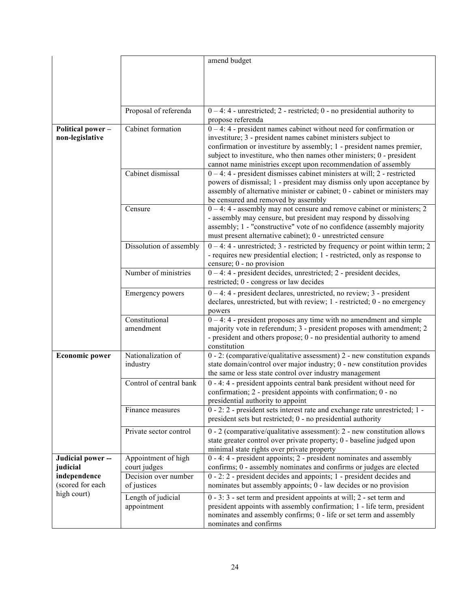|                          |                                      | amend budget                                                                                                                                                    |
|--------------------------|--------------------------------------|-----------------------------------------------------------------------------------------------------------------------------------------------------------------|
|                          |                                      |                                                                                                                                                                 |
|                          |                                      |                                                                                                                                                                 |
|                          |                                      |                                                                                                                                                                 |
|                          | Proposal of referenda                | $0 - 4$ : 4 - unrestricted; 2 - restricted; 0 - no presidential authority to                                                                                    |
|                          |                                      | propose referenda                                                                                                                                               |
| <b>Political power -</b> | Cabinet formation                    | $0 - 4$ : 4 - president names cabinet without need for confirmation or                                                                                          |
| non-legislative          |                                      | investiture; 3 - president names cabinet ministers subject to<br>confirmation or investiture by assembly; 1 - president names premier,                          |
|                          |                                      | subject to investiture, who then names other ministers; 0 - president                                                                                           |
|                          |                                      | cannot name ministries except upon recommendation of assembly                                                                                                   |
|                          | Cabinet dismissal                    | $0 - 4$ : 4 - president dismisses cabinet ministers at will; 2 - restricted                                                                                     |
|                          |                                      | powers of dismissal; 1 - president may dismiss only upon acceptance by<br>assembly of alternative minister or cabinet; 0 - cabinet or ministers may             |
|                          |                                      | be censured and removed by assembly                                                                                                                             |
|                          | Censure                              | $0 - 4$ : 4 - assembly may not censure and remove cabinet or ministers; 2                                                                                       |
|                          |                                      | - assembly may censure, but president may respond by dissolving<br>assembly; 1 - "constructive" vote of no confidence (assembly majority                        |
|                          |                                      | must present alternative cabinet); 0 - unrestricted censure                                                                                                     |
|                          | Dissolution of assembly              | $0 - 4$ : 4 - unrestricted; 3 - restricted by frequency or point within term; 2                                                                                 |
|                          |                                      | - requires new presidential election; 1 - restricted, only as response to                                                                                       |
|                          | Number of ministries                 | censure; 0 - no provision<br>0-4:4 - president decides, unrestricted; 2 - president decides,                                                                    |
|                          |                                      | restricted; 0 - congress or law decides                                                                                                                         |
|                          | Emergency powers                     | $0 - 4$ : 4 - president declares, unrestricted, no review; 3 - president<br>declares, unrestricted, but with review; 1 - restricted; 0 - no emergency<br>powers |
|                          | Constitutional                       | $0 - 4$ : 4 - president proposes any time with no amendment and simple                                                                                          |
|                          | amendment                            | majority vote in referendum; 3 - president proposes with amendment; 2<br>- president and others propose; 0 - no presidential authority to amend                 |
|                          |                                      | constitution                                                                                                                                                    |
| <b>Economic power</b>    | Nationalization of                   | $0 - 2$ : (comparative/qualitative assessment) $2 - new$ constitution expands                                                                                   |
|                          | industry                             | state domain/control over major industry; 0 - new constitution provides<br>the same or less state control over industry management                              |
|                          | Control of central bank              | 0 - 4: 4 - president appoints central bank president without need for                                                                                           |
|                          |                                      | confirmation; 2 - president appoints with confirmation; 0 - no                                                                                                  |
|                          | Finance measures                     | presidential authority to appoint<br>0 - 2: 2 - president sets interest rate and exchange rate unrestricted; 1 -                                                |
|                          |                                      | president sets but restricted; 0 - no presidential authority                                                                                                    |
|                          | Private sector control               | $0 - 2$ (comparative/qualitative assessment): $2 - new$ constitution allows                                                                                     |
|                          |                                      | state greater control over private property; 0 - baseline judged upon<br>minimal state rights over private property                                             |
| Judicial power --        | Appointment of high                  | 0 - 4: 4 - president appoints; 2 - president nominates and assembly                                                                                             |
| judicial<br>independence | court judges<br>Decision over number | confirms; 0 - assembly nominates and confirms or judges are elected<br>0 - 2: 2 - president decides and appoints; 1 - president decides and                     |
| (scored for each         | of justices                          | nominates but assembly appoints; 0 - law decides or no provision                                                                                                |
| high court)              | Length of judicial                   | $0 - 3$ : $3 - $ set term and president appoints at will; 2 - set term and                                                                                      |
|                          | appointment                          | president appoints with assembly confirmation; 1 - life term, president                                                                                         |
|                          |                                      | nominates and assembly confirms; 0 - life or set term and assembly<br>nominates and confirms                                                                    |
|                          |                                      |                                                                                                                                                                 |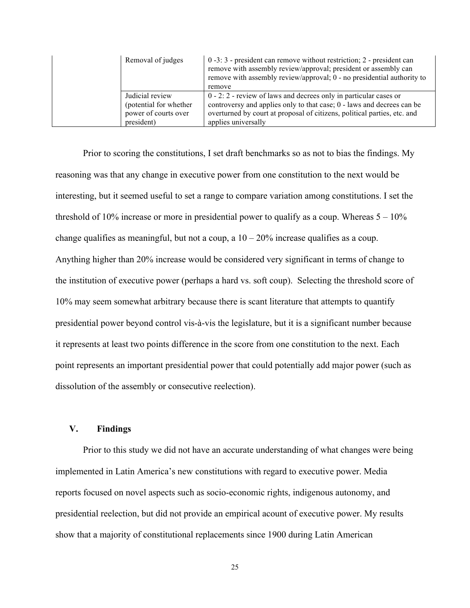| Removal of judges                                                                | $0 - 3$ : 3 - president can remove without restriction; 2 - president can<br>remove with assembly review/approval; president or assembly can<br>remove with assembly review/approval; 0 - no presidential authority to<br>remove                  |  |
|----------------------------------------------------------------------------------|---------------------------------------------------------------------------------------------------------------------------------------------------------------------------------------------------------------------------------------------------|--|
| Judicial review<br>(potential for whether)<br>power of courts over<br>president) | $0 - 2$ : 2 - review of laws and decrees only in particular cases or<br>controversy and applies only to that case; 0 - laws and decrees can be<br>overturned by court at proposal of citizens, political parties, etc. and<br>applies universally |  |

Prior to scoring the constitutions, I set draft benchmarks so as not to bias the findings. My reasoning was that any change in executive power from one constitution to the next would be interesting, but it seemed useful to set a range to compare variation among constitutions. I set the threshold of 10% increase or more in presidential power to qualify as a coup. Whereas  $5 - 10\%$ change qualifies as meaningful, but not a coup, a  $10 - 20\%$  increase qualifies as a coup. Anything higher than 20% increase would be considered very significant in terms of change to the institution of executive power (perhaps a hard vs. soft coup). Selecting the threshold score of 10% may seem somewhat arbitrary because there is scant literature that attempts to quantify presidential power beyond control vis-à-vis the legislature, but it is a significant number because it represents at least two points difference in the score from one constitution to the next. Each point represents an important presidential power that could potentially add major power (such as dissolution of the assembly or consecutive reelection).

# **V. Findings**

Prior to this study we did not have an accurate understanding of what changes were being implemented in Latin America's new constitutions with regard to executive power. Media reports focused on novel aspects such as socio-economic rights, indigenous autonomy, and presidential reelection, but did not provide an empirical acount of executive power. My results show that a majority of constitutional replacements since 1900 during Latin American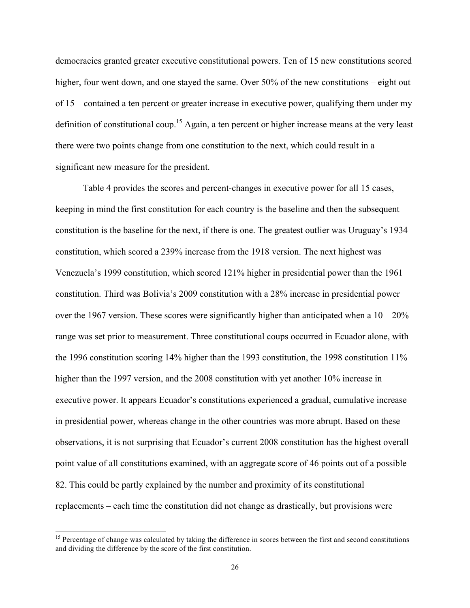democracies granted greater executive constitutional powers. Ten of 15 new constitutions scored higher, four went down, and one stayed the same. Over 50% of the new constitutions – eight out of 15 – contained a ten percent or greater increase in executive power, qualifying them under my definition of constitutional coup.<sup>15</sup> Again, a ten percent or higher increase means at the very least there were two points change from one constitution to the next, which could result in a significant new measure for the president.

Table 4 provides the scores and percent-changes in executive power for all 15 cases, keeping in mind the first constitution for each country is the baseline and then the subsequent constitution is the baseline for the next, if there is one. The greatest outlier was Uruguay's 1934 constitution, which scored a 239% increase from the 1918 version. The next highest was Venezuela's 1999 constitution, which scored 121% higher in presidential power than the 1961 constitution. Third was Bolivia's 2009 constitution with a 28% increase in presidential power over the 1967 version. These scores were significantly higher than anticipated when a  $10-20\%$ range was set prior to measurement. Three constitutional coups occurred in Ecuador alone, with the 1996 constitution scoring 14% higher than the 1993 constitution, the 1998 constitution 11% higher than the 1997 version, and the 2008 constitution with yet another 10% increase in executive power. It appears Ecuador's constitutions experienced a gradual, cumulative increase in presidential power, whereas change in the other countries was more abrupt. Based on these observations, it is not surprising that Ecuador's current 2008 constitution has the highest overall point value of all constitutions examined, with an aggregate score of 46 points out of a possible 82. This could be partly explained by the number and proximity of its constitutional replacements – each time the constitution did not change as drastically, but provisions were

<sup>&</sup>lt;sup>15</sup> Percentage of change was calculated by taking the difference in scores between the first and second constitutions and dividing the difference by the score of the first constitution.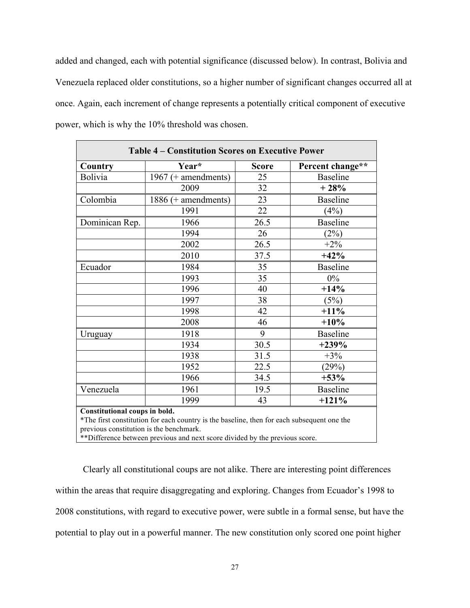added and changed, each with potential significance (discussed below). In contrast, Bolivia and Venezuela replaced older constitutions, so a higher number of significant changes occurred all at once. Again, each increment of change represents a potentially critical component of executive power, which is why the 10% threshold was chosen.

| <b>Table 4 – Constitution Scores on Executive Power</b> |                       |              |                  |  |  |  |  |  |
|---------------------------------------------------------|-----------------------|--------------|------------------|--|--|--|--|--|
| Country                                                 | Year*                 | <b>Score</b> | Percent change** |  |  |  |  |  |
| Bolivia                                                 | 1967 (+ amendments)   | 25           | <b>Baseline</b>  |  |  |  |  |  |
|                                                         | 2009                  | 32           | $+28%$           |  |  |  |  |  |
| Colombia                                                | $1886$ (+ amendments) | 23           | <b>Baseline</b>  |  |  |  |  |  |
|                                                         | 1991                  | 22           | (4%)             |  |  |  |  |  |
| Dominican Rep.                                          | 1966                  | 26.5         | <b>Baseline</b>  |  |  |  |  |  |
|                                                         | 1994                  | 26           | (2%)             |  |  |  |  |  |
|                                                         | 2002                  | 26.5         | $+2\%$           |  |  |  |  |  |
|                                                         | 2010                  | 37.5         | $+42%$           |  |  |  |  |  |
| Ecuador                                                 | 1984                  | 35           | <b>Baseline</b>  |  |  |  |  |  |
|                                                         | 1993                  | 35           | $0\%$            |  |  |  |  |  |
|                                                         | 1996                  | 40           | $+14%$           |  |  |  |  |  |
|                                                         | 1997                  | 38           | (5%)             |  |  |  |  |  |
|                                                         | 1998                  | 42           | $+11%$           |  |  |  |  |  |
|                                                         | 2008                  | 46           | $+10%$           |  |  |  |  |  |
| Uruguay                                                 | 1918                  | 9            | <b>Baseline</b>  |  |  |  |  |  |
|                                                         | 1934                  | 30.5         | $+239%$          |  |  |  |  |  |
|                                                         | 1938                  | 31.5         | $+3\%$           |  |  |  |  |  |
|                                                         | 1952                  | 22.5         | (29%)            |  |  |  |  |  |
|                                                         | 1966                  | 34.5         | $+53%$           |  |  |  |  |  |
| Venezuela                                               | 1961                  | 19.5         | <b>Baseline</b>  |  |  |  |  |  |
|                                                         | 1999                  | 43           | $+121%$          |  |  |  |  |  |

\*The first constitution for each country is the baseline, then for each subsequent one the previous constitution is the benchmark.

\*\*Difference between previous and next score divided by the previous score.

Clearly all constitutional coups are not alike. There are interesting point differences within the areas that require disaggregating and exploring. Changes from Ecuador's 1998 to 2008 constitutions, with regard to executive power, were subtle in a formal sense, but have the potential to play out in a powerful manner. The new constitution only scored one point higher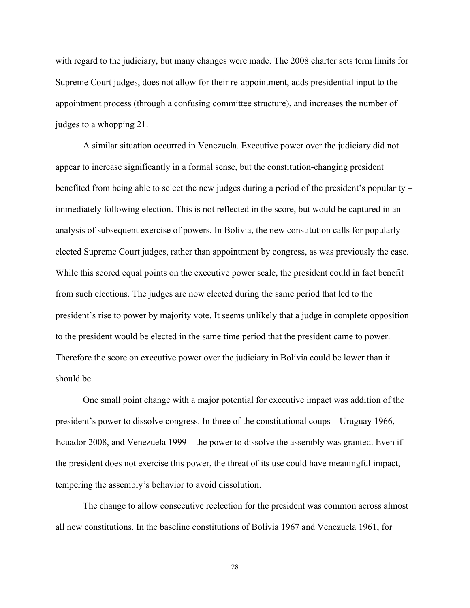with regard to the judiciary, but many changes were made. The 2008 charter sets term limits for Supreme Court judges, does not allow for their re-appointment, adds presidential input to the appointment process (through a confusing committee structure), and increases the number of judges to a whopping 21.

A similar situation occurred in Venezuela. Executive power over the judiciary did not appear to increase significantly in a formal sense, but the constitution-changing president benefited from being able to select the new judges during a period of the president's popularity – immediately following election. This is not reflected in the score, but would be captured in an analysis of subsequent exercise of powers. In Bolivia, the new constitution calls for popularly elected Supreme Court judges, rather than appointment by congress, as was previously the case. While this scored equal points on the executive power scale, the president could in fact benefit from such elections. The judges are now elected during the same period that led to the president's rise to power by majority vote. It seems unlikely that a judge in complete opposition to the president would be elected in the same time period that the president came to power. Therefore the score on executive power over the judiciary in Bolivia could be lower than it should be.

One small point change with a major potential for executive impact was addition of the president's power to dissolve congress. In three of the constitutional coups – Uruguay 1966, Ecuador 2008, and Venezuela 1999 – the power to dissolve the assembly was granted. Even if the president does not exercise this power, the threat of its use could have meaningful impact, tempering the assembly's behavior to avoid dissolution.

The change to allow consecutive reelection for the president was common across almost all new constitutions. In the baseline constitutions of Bolivia 1967 and Venezuela 1961, for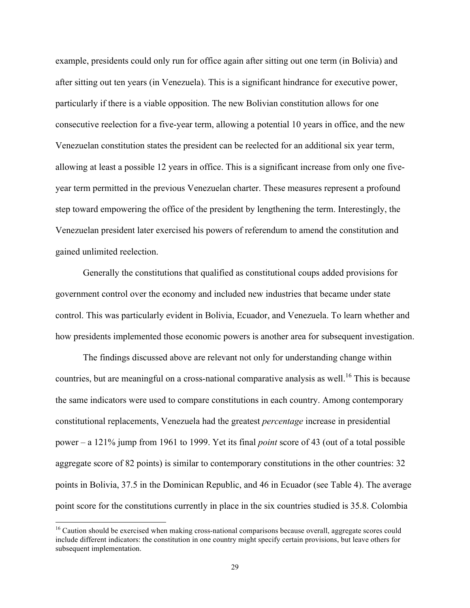example, presidents could only run for office again after sitting out one term (in Bolivia) and after sitting out ten years (in Venezuela). This is a significant hindrance for executive power, particularly if there is a viable opposition. The new Bolivian constitution allows for one consecutive reelection for a five-year term, allowing a potential 10 years in office, and the new Venezuelan constitution states the president can be reelected for an additional six year term, allowing at least a possible 12 years in office. This is a significant increase from only one fiveyear term permitted in the previous Venezuelan charter. These measures represent a profound step toward empowering the office of the president by lengthening the term. Interestingly, the Venezuelan president later exercised his powers of referendum to amend the constitution and gained unlimited reelection.

Generally the constitutions that qualified as constitutional coups added provisions for government control over the economy and included new industries that became under state control. This was particularly evident in Bolivia, Ecuador, and Venezuela. To learn whether and how presidents implemented those economic powers is another area for subsequent investigation.

The findings discussed above are relevant not only for understanding change within countries, but are meaningful on a cross-national comparative analysis as well.<sup>16</sup> This is because the same indicators were used to compare constitutions in each country. Among contemporary constitutional replacements, Venezuela had the greatest *percentage* increase in presidential power – a 121% jump from 1961 to 1999. Yet its final *point* score of 43 (out of a total possible aggregate score of 82 points) is similar to contemporary constitutions in the other countries: 32 points in Bolivia, 37.5 in the Dominican Republic, and 46 in Ecuador (see Table 4). The average point score for the constitutions currently in place in the six countries studied is 35.8. Colombia

<sup>&</sup>lt;sup>16</sup> Caution should be exercised when making cross-national comparisons because overall, aggregate scores could include different indicators: the constitution in one country might specify certain provisions, but leave others for subsequent implementation.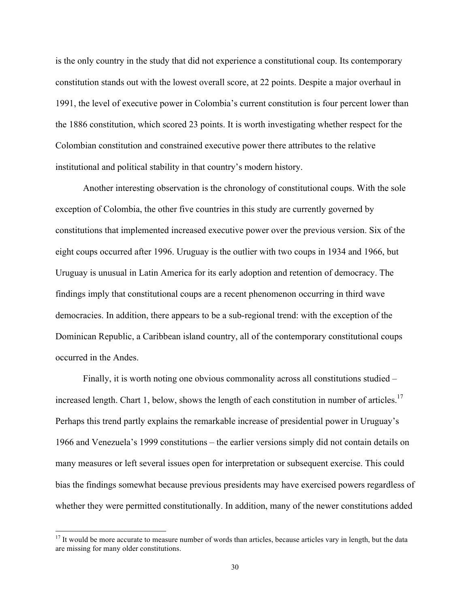is the only country in the study that did not experience a constitutional coup. Its contemporary constitution stands out with the lowest overall score, at 22 points. Despite a major overhaul in 1991, the level of executive power in Colombia's current constitution is four percent lower than the 1886 constitution, which scored 23 points. It is worth investigating whether respect for the Colombian constitution and constrained executive power there attributes to the relative institutional and political stability in that country's modern history.

Another interesting observation is the chronology of constitutional coups. With the sole exception of Colombia, the other five countries in this study are currently governed by constitutions that implemented increased executive power over the previous version. Six of the eight coups occurred after 1996. Uruguay is the outlier with two coups in 1934 and 1966, but Uruguay is unusual in Latin America for its early adoption and retention of democracy. The findings imply that constitutional coups are a recent phenomenon occurring in third wave democracies. In addition, there appears to be a sub-regional trend: with the exception of the Dominican Republic, a Caribbean island country, all of the contemporary constitutional coups occurred in the Andes.

Finally, it is worth noting one obvious commonality across all constitutions studied – increased length. Chart 1, below, shows the length of each constitution in number of articles.<sup>17</sup> Perhaps this trend partly explains the remarkable increase of presidential power in Uruguay's 1966 and Venezuela's 1999 constitutions – the earlier versions simply did not contain details on many measures or left several issues open for interpretation or subsequent exercise. This could bias the findings somewhat because previous presidents may have exercised powers regardless of whether they were permitted constitutionally. In addition, many of the newer constitutions added

 $17$  It would be more accurate to measure number of words than articles, because articles vary in length, but the data are missing for many older constitutions.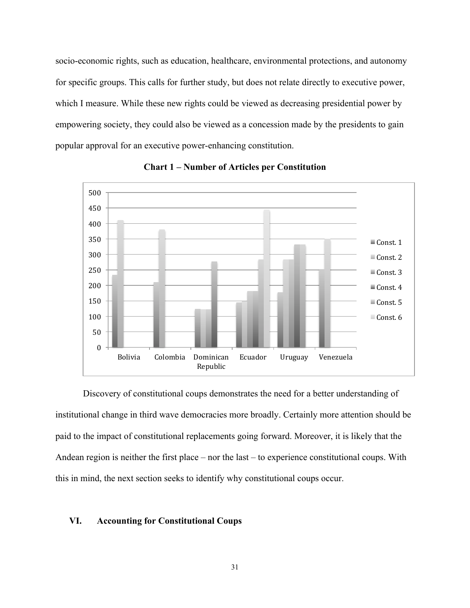socio-economic rights, such as education, healthcare, environmental protections, and autonomy for specific groups. This calls for further study, but does not relate directly to executive power, which I measure. While these new rights could be viewed as decreasing presidential power by empowering society, they could also be viewed as a concession made by the presidents to gain popular approval for an executive power-enhancing constitution.



**Chart 1 – Number of Articles per Constitution**

Discovery of constitutional coups demonstrates the need for a better understanding of institutional change in third wave democracies more broadly. Certainly more attention should be paid to the impact of constitutional replacements going forward. Moreover, it is likely that the Andean region is neither the first place – nor the last – to experience constitutional coups. With this in mind, the next section seeks to identify why constitutional coups occur.

#### **VI. Accounting for Constitutional Coups**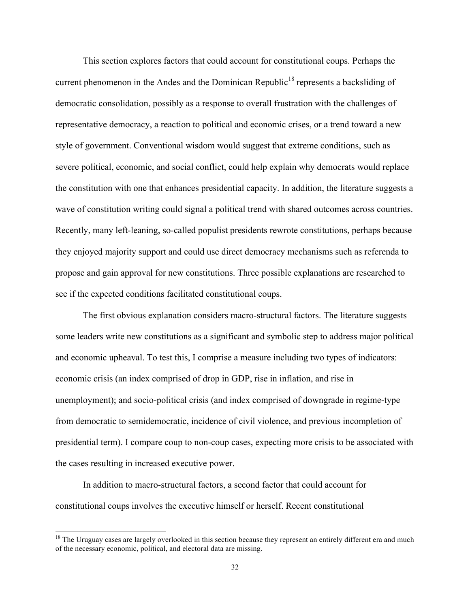This section explores factors that could account for constitutional coups. Perhaps the current phenomenon in the Andes and the Dominican Republic<sup>18</sup> represents a backsliding of democratic consolidation, possibly as a response to overall frustration with the challenges of representative democracy, a reaction to political and economic crises, or a trend toward a new style of government. Conventional wisdom would suggest that extreme conditions, such as severe political, economic, and social conflict, could help explain why democrats would replace the constitution with one that enhances presidential capacity. In addition, the literature suggests a wave of constitution writing could signal a political trend with shared outcomes across countries. Recently, many left-leaning, so-called populist presidents rewrote constitutions, perhaps because they enjoyed majority support and could use direct democracy mechanisms such as referenda to propose and gain approval for new constitutions. Three possible explanations are researched to see if the expected conditions facilitated constitutional coups.

The first obvious explanation considers macro-structural factors. The literature suggests some leaders write new constitutions as a significant and symbolic step to address major political and economic upheaval. To test this, I comprise a measure including two types of indicators: economic crisis (an index comprised of drop in GDP, rise in inflation, and rise in unemployment); and socio-political crisis (and index comprised of downgrade in regime-type from democratic to semidemocratic, incidence of civil violence, and previous incompletion of presidential term). I compare coup to non-coup cases, expecting more crisis to be associated with the cases resulting in increased executive power.

In addition to macro-structural factors, a second factor that could account for constitutional coups involves the executive himself or herself. Recent constitutional

 $18$  The Uruguay cases are largely overlooked in this section because they represent an entirely different era and much of the necessary economic, political, and electoral data are missing.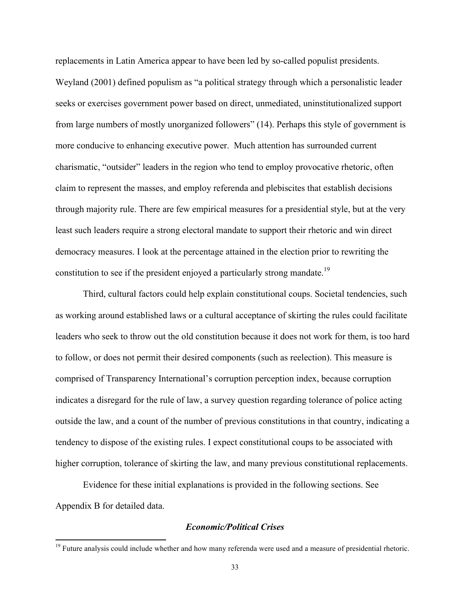replacements in Latin America appear to have been led by so-called populist presidents. Weyland (2001) defined populism as "a political strategy through which a personalistic leader seeks or exercises government power based on direct, unmediated, uninstitutionalized support from large numbers of mostly unorganized followers" (14). Perhaps this style of government is more conducive to enhancing executive power. Much attention has surrounded current charismatic, "outsider" leaders in the region who tend to employ provocative rhetoric, often claim to represent the masses, and employ referenda and plebiscites that establish decisions through majority rule. There are few empirical measures for a presidential style, but at the very least such leaders require a strong electoral mandate to support their rhetoric and win direct democracy measures. I look at the percentage attained in the election prior to rewriting the constitution to see if the president enjoyed a particularly strong mandate.<sup>19</sup>

Third, cultural factors could help explain constitutional coups. Societal tendencies, such as working around established laws or a cultural acceptance of skirting the rules could facilitate leaders who seek to throw out the old constitution because it does not work for them, is too hard to follow, or does not permit their desired components (such as reelection). This measure is comprised of Transparency International's corruption perception index, because corruption indicates a disregard for the rule of law, a survey question regarding tolerance of police acting outside the law, and a count of the number of previous constitutions in that country, indicating a tendency to dispose of the existing rules. I expect constitutional coups to be associated with higher corruption, tolerance of skirting the law, and many previous constitutional replacements.

Evidence for these initial explanations is provided in the following sections. See Appendix B for detailed data.

!!!!!!!!!!!!!!!!!!!!!!!!!!!!!!!!!!!!!!!!!!!!!!!!!!!!!!!!!!!!

### *Economic/Political Crises*

<sup>&</sup>lt;sup>19</sup> Future analysis could include whether and how many referenda were used and a measure of presidential rhetoric.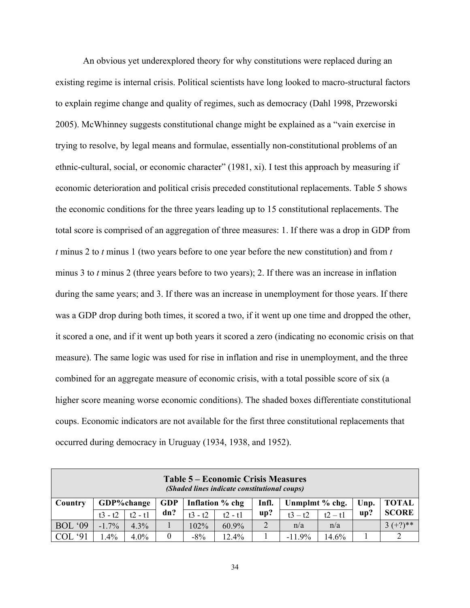An obvious yet underexplored theory for why constitutions were replaced during an existing regime is internal crisis. Political scientists have long looked to macro-structural factors to explain regime change and quality of regimes, such as democracy (Dahl 1998, Przeworski 2005). McWhinney suggests constitutional change might be explained as a "vain exercise in trying to resolve, by legal means and formulae, essentially non-constitutional problems of an ethnic-cultural, social, or economic character" (1981, xi). I test this approach by measuring if economic deterioration and political crisis preceded constitutional replacements. Table 5 shows the economic conditions for the three years leading up to 15 constitutional replacements. The total score is comprised of an aggregation of three measures: 1. If there was a drop in GDP from *t* minus 2 to *t* minus 1 (two years before to one year before the new constitution) and from *t*  minus 3 to *t* minus 2 (three years before to two years); 2. If there was an increase in inflation during the same years; and 3. If there was an increase in unemployment for those years. If there was a GDP drop during both times, it scored a two, if it went up one time and dropped the other, it scored a one, and if it went up both years it scored a zero (indicating no economic crisis on that measure). The same logic was used for rise in inflation and rise in unemployment, and the three combined for an aggregate measure of economic crisis, with a total possible score of six (a higher score meaning worse economic conditions). The shaded boxes differentiate constitutional coups. Economic indicators are not available for the first three constitutional replacements that occurred during democracy in Uruguay (1934, 1938, and 1952).

| Table 5 – Economic Crisis Measures<br>(Shaded lines indicate constitutional coups) |           |            |            |                 |           |       |                |           |      |              |
|------------------------------------------------------------------------------------|-----------|------------|------------|-----------------|-----------|-------|----------------|-----------|------|--------------|
| Country                                                                            |           | GDP%change | <b>GDP</b> | Inflation % chg |           | Infl. | Unmplmt % chg. |           | Unp. | <b>TOTAL</b> |
|                                                                                    | $t3 - t2$ | $t2 - t1$  | dn?        | $t3 - t2$       | $t2 - t1$ | up?   | $t3 - t2$      | $t2 - t1$ | up?  | <b>SCORE</b> |
| <b>BOL</b> '09                                                                     | $-1.7%$   | $4.3\%$    |            | 102%            | 60.9%     | 2     | n/a            | n/a       |      | $3 (+?)$ **  |
| 91<br>COL <sup>4</sup>                                                             | $.4\%$    | $4.0\%$    | 0          | $-8\%$          | 12.4%     |       | $-11.9\%$      | 14.6%     |      |              |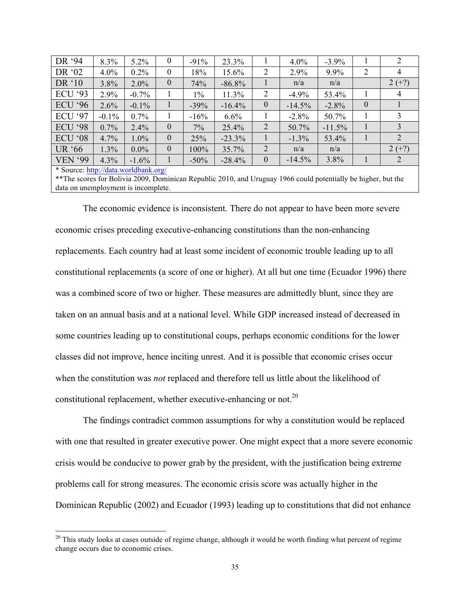| DR '94         | 8.3%     | $5.2\%$                                | $\boldsymbol{0}$ | $-91%$  | 23.3%    |                  | $4.0\%$  | $-3.9\%$ |          |          |
|----------------|----------|----------------------------------------|------------------|---------|----------|------------------|----------|----------|----------|----------|
| DR '02         | $4.0\%$  | $0.2\%$                                | $\boldsymbol{0}$ | 18%     | 15.6%    | $\overline{2}$   | 2.9%     | 9.9%     | 2        |          |
| DR '10         | 3.8%     | $2.0\%$                                | $\boldsymbol{0}$ | 74%     | $-86.8%$ |                  | n/a      | n/a      |          | $2 (+?)$ |
| <b>ECU</b> '93 | 2.9%     | $-0.7\%$                               |                  | 1%      | 11.3%    | 2                | $-4.9%$  | 53.4%    |          | 4        |
| <b>ECU</b> '96 | 2.6%     | $-0.1\%$                               |                  | $-39%$  | $-16.4%$ | $\boldsymbol{0}$ | $-14.5%$ | $-2.8%$  | $\theta$ |          |
| <b>ECU '97</b> | $-0.1\%$ | $0.7\%$                                |                  | $-16%$  | 6.6%     |                  | $-2.8%$  | 50.7%    |          |          |
| <b>ECU '98</b> | $0.7\%$  | 2.4%                                   | $\theta$         | 7%      | 25.4%    | 2                | 50.7%    | $-11.5%$ |          |          |
| <b>ECU</b> '08 | 4.7%     | $1.0\%$                                | $\boldsymbol{0}$ | 25%     | $-23.3%$ |                  | $-1.3%$  | 53.4%    |          | 2        |
| UR '66         | 1.3%     | $0.0\%$                                | $\theta$         | 100%    | 35.7%    | 2                | n/a      | n/a      |          | $2 (+?)$ |
| <b>VEN '99</b> | 4.3%     | $-1.6\%$                               |                  | $-50\%$ | $-28.4%$ | $\overline{0}$   | $-14.5%$ | 3.8%     |          |          |
| $\mathbf{r}$   |          | $\mathbf{1}$ $\mathbf{1}$ $\mathbf{1}$ |                  |         |          |                  |          |          |          |          |

\* Source: http://data.worldbank.org/

!!!!!!!!!!!!!!!!!!!!!!!!!!!!!!!!!!!!!!!!!!!!!!!!!!!!!!!!!!!!

\*\*The scores for Bolivia 2009, Dominican Republic 2010, and Uruguay 1966 could potentially be higher, but the data on unemployment is incomplete.

The economic evidence is inconsistent. There do not appear to have been more severe economic crises preceding executive-enhancing constitutions than the non-enhancing replacements. Each country had at least some incident of economic trouble leading up to all constitutional replacements (a score of one or higher). At all but one time (Ecuador 1996) there was a combined score of two or higher. These measures are admittedly blunt, since they are taken on an annual basis and at a national level. While GDP increased instead of decreased in some countries leading up to constitutional coups, perhaps economic conditions for the lower classes did not improve, hence inciting unrest. And it is possible that economic crises occur when the constitution was *not* replaced and therefore tell us little about the likelihood of constitutional replacement, whether executive-enhancing or not.<sup>20</sup>

The findings contradict common assumptions for why a constitution would be replaced with one that resulted in greater executive power. One might expect that a more severe economic crisis would be conducive to power grab by the president, with the justification being extreme problems call for strong measures. The economic crisis score was actually higher in the Dominican Republic (2002) and Ecuador (1993) leading up to constitutions that did not enhance

 $20$  This study looks at cases outside of regime change, although it would be worth finding what percent of regime change occurs due to economic crises.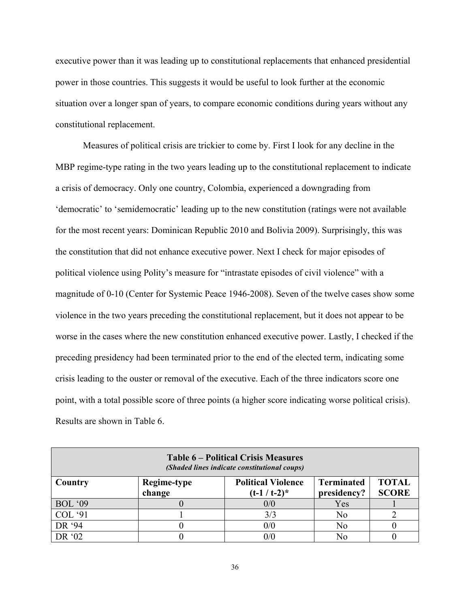executive power than it was leading up to constitutional replacements that enhanced presidential power in those countries. This suggests it would be useful to look further at the economic situation over a longer span of years, to compare economic conditions during years without any constitutional replacement.

Measures of political crisis are trickier to come by. First I look for any decline in the MBP regime-type rating in the two years leading up to the constitutional replacement to indicate a crisis of democracy. Only one country, Colombia, experienced a downgrading from 'democratic' to 'semidemocratic' leading up to the new constitution (ratings were not available for the most recent years: Dominican Republic 2010 and Bolivia 2009). Surprisingly, this was the constitution that did not enhance executive power. Next I check for major episodes of political violence using Polity's measure for "intrastate episodes of civil violence" with a magnitude of 0-10 (Center for Systemic Peace 1946-2008). Seven of the twelve cases show some violence in the two years preceding the constitutional replacement, but it does not appear to be worse in the cases where the new constitution enhanced executive power. Lastly, I checked if the preceding presidency had been terminated prior to the end of the elected term, indicating some crisis leading to the ouster or removal of the executive. Each of the three indicators score one point, with a total possible score of three points (a higher score indicating worse political crisis). Results are shown in Table 6.

| <b>Table 6 – Political Crisis Measures</b><br>(Shaded lines indicate constitutional coups) |                       |                                              |                                  |                              |  |  |
|--------------------------------------------------------------------------------------------|-----------------------|----------------------------------------------|----------------------------------|------------------------------|--|--|
| Country                                                                                    | Regime-type<br>change | <b>Political Violence</b><br>$(t-1 / t-2)^*$ | <b>Terminated</b><br>presidency? | <b>TOTAL</b><br><b>SCORE</b> |  |  |
| <b>BOL</b> '09'                                                                            |                       | 0/0                                          | Yes                              |                              |  |  |
| COL '91                                                                                    |                       | 3/3                                          | No                               |                              |  |  |
| DR '94                                                                                     |                       | 0/0                                          | No                               |                              |  |  |
| DR '02                                                                                     |                       | 0/0                                          |                                  |                              |  |  |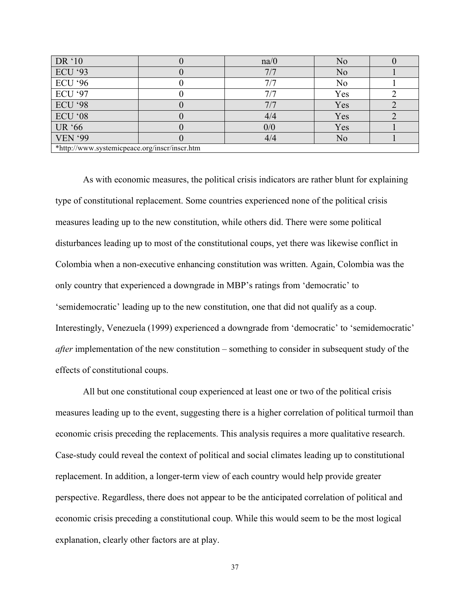| DR '10                                        |  | na/0 | N <sub>o</sub> |  |  |
|-----------------------------------------------|--|------|----------------|--|--|
| <b>ECU</b> '93                                |  | 7/7  | N <sub>o</sub> |  |  |
| <b>ECU</b> '96                                |  | 7/7  | N <sub>0</sub> |  |  |
| <b>ECU</b> '97                                |  | 7/7  | Yes            |  |  |
| <b>ECU</b> '98                                |  | 7/7  | Yes            |  |  |
| ECU '08                                       |  | 4/4  | Yes            |  |  |
| <b>UR '66</b>                                 |  | 0/0  | Yes            |  |  |
| <b>VEN '99</b>                                |  | 4/4  | No             |  |  |
| *http://www.systemicpeace.org/inscr/inscr.htm |  |      |                |  |  |

As with economic measures, the political crisis indicators are rather blunt for explaining type of constitutional replacement. Some countries experienced none of the political crisis measures leading up to the new constitution, while others did. There were some political disturbances leading up to most of the constitutional coups, yet there was likewise conflict in Colombia when a non-executive enhancing constitution was written. Again, Colombia was the only country that experienced a downgrade in MBP's ratings from 'democratic' to 'semidemocratic' leading up to the new constitution, one that did not qualify as a coup. Interestingly, Venezuela (1999) experienced a downgrade from 'democratic' to 'semidemocratic' *after* implementation of the new constitution – something to consider in subsequent study of the effects of constitutional coups.

All but one constitutional coup experienced at least one or two of the political crisis measures leading up to the event, suggesting there is a higher correlation of political turmoil than economic crisis preceding the replacements. This analysis requires a more qualitative research. Case-study could reveal the context of political and social climates leading up to constitutional replacement. In addition, a longer-term view of each country would help provide greater perspective. Regardless, there does not appear to be the anticipated correlation of political and economic crisis preceding a constitutional coup. While this would seem to be the most logical explanation, clearly other factors are at play.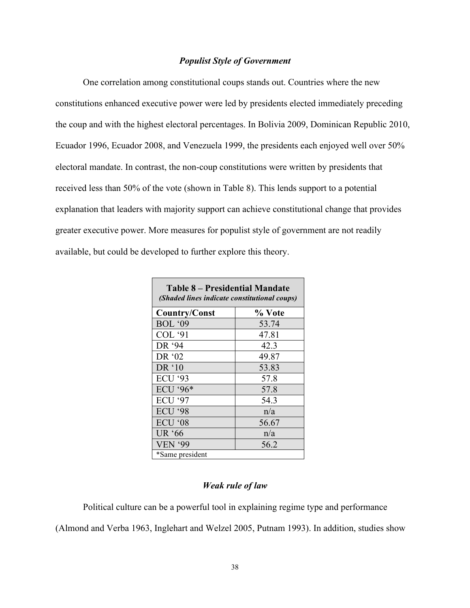### *Populist Style of Government*

One correlation among constitutional coups stands out. Countries where the new constitutions enhanced executive power were led by presidents elected immediately preceding the coup and with the highest electoral percentages. In Bolivia 2009, Dominican Republic 2010, Ecuador 1996, Ecuador 2008, and Venezuela 1999, the presidents each enjoyed well over 50% electoral mandate. In contrast, the non-coup constitutions were written by presidents that received less than 50% of the vote (shown in Table 8). This lends support to a potential explanation that leaders with majority support can achieve constitutional change that provides greater executive power. More measures for populist style of government are not readily available, but could be developed to further explore this theory.

| Table 8 – Presidential Mandate<br>(Shaded lines indicate constitutional coups) |        |  |  |  |  |
|--------------------------------------------------------------------------------|--------|--|--|--|--|
| Country/Const                                                                  | % Vote |  |  |  |  |
| <b>BOL</b> '09                                                                 | 53.74  |  |  |  |  |
| <b>COL</b> '91                                                                 | 47.81  |  |  |  |  |
| DR '94                                                                         | 423    |  |  |  |  |
| DR '02                                                                         | 49.87  |  |  |  |  |
| DR '10                                                                         | 53.83  |  |  |  |  |
| <b>ECU '93</b>                                                                 | 57.8   |  |  |  |  |
| ECU '96*                                                                       | 57.8   |  |  |  |  |
| <b>ECU</b> '97                                                                 | 54.3   |  |  |  |  |
| <b>ECU</b> '98                                                                 | n/a    |  |  |  |  |
| ECU '08                                                                        | 56.67  |  |  |  |  |
| UR '66                                                                         | n/a    |  |  |  |  |
| <b>VEN '99</b>                                                                 | 56.2   |  |  |  |  |
| *Same president                                                                |        |  |  |  |  |

### *Weak rule of law*

Political culture can be a powerful tool in explaining regime type and performance

(Almond and Verba 1963, Inglehart and Welzel 2005, Putnam 1993). In addition, studies show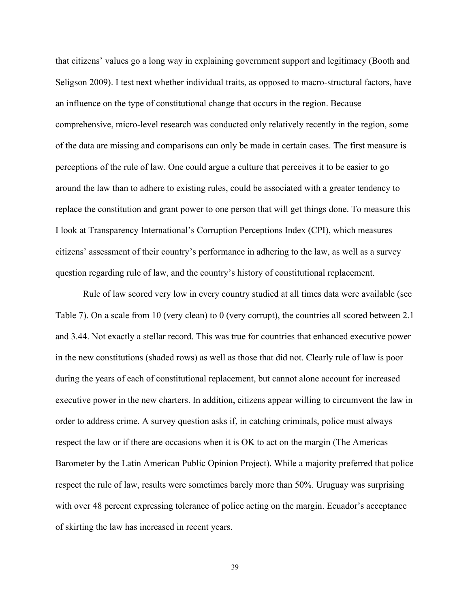that citizens' values go a long way in explaining government support and legitimacy (Booth and Seligson 2009). I test next whether individual traits, as opposed to macro-structural factors, have an influence on the type of constitutional change that occurs in the region. Because comprehensive, micro-level research was conducted only relatively recently in the region, some of the data are missing and comparisons can only be made in certain cases. The first measure is perceptions of the rule of law. One could argue a culture that perceives it to be easier to go around the law than to adhere to existing rules, could be associated with a greater tendency to replace the constitution and grant power to one person that will get things done. To measure this I look at Transparency International's Corruption Perceptions Index (CPI), which measures citizens' assessment of their country's performance in adhering to the law, as well as a survey question regarding rule of law, and the country's history of constitutional replacement.

Rule of law scored very low in every country studied at all times data were available (see Table 7). On a scale from 10 (very clean) to 0 (very corrupt), the countries all scored between 2.1 and 3.44. Not exactly a stellar record. This was true for countries that enhanced executive power in the new constitutions (shaded rows) as well as those that did not. Clearly rule of law is poor during the years of each of constitutional replacement, but cannot alone account for increased executive power in the new charters. In addition, citizens appear willing to circumvent the law in order to address crime. A survey question asks if, in catching criminals, police must always respect the law or if there are occasions when it is OK to act on the margin (The Americas Barometer by the Latin American Public Opinion Project). While a majority preferred that police respect the rule of law, results were sometimes barely more than 50%. Uruguay was surprising with over 48 percent expressing tolerance of police acting on the margin. Ecuador's acceptance of skirting the law has increased in recent years.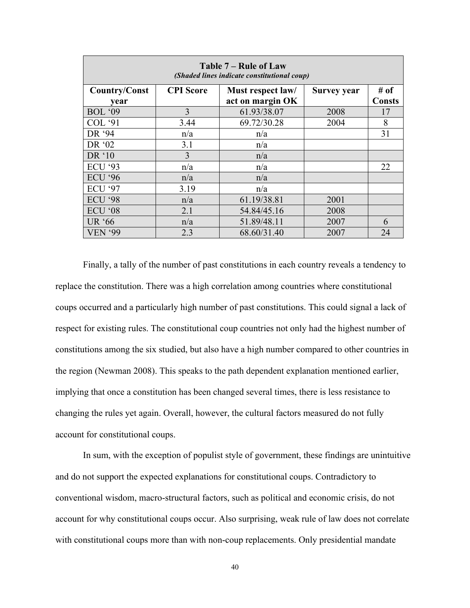| Table 7 – Rule of Law<br>(Shaded lines indicate constitutional coup) |                  |                   |                    |               |  |  |
|----------------------------------------------------------------------|------------------|-------------------|--------------------|---------------|--|--|
| <b>Country/Const</b>                                                 | <b>CPI</b> Score | Must respect law/ | <b>Survey year</b> | # of          |  |  |
| year                                                                 |                  | act on margin OK  |                    | <b>Consts</b> |  |  |
| <b>BOL</b> '09                                                       | 3                | 61.93/38.07       | 2008               | 17            |  |  |
| <b>COL</b> '91                                                       | 3.44             | 69.72/30.28       | 2004               | 8             |  |  |
| DR '94                                                               | n/a              | n/a               |                    | 31            |  |  |
| DR '02                                                               | 3.1              | n/a               |                    |               |  |  |
| DR '10                                                               | 3                | n/a               |                    |               |  |  |
| <b>ECU</b> '93                                                       | n/a              | n/a               |                    | 22            |  |  |
| <b>ECU</b> '96                                                       | n/a              | n/a               |                    |               |  |  |
| <b>ECU '97</b>                                                       | 3.19             | n/a               |                    |               |  |  |
| <b>ECU '98</b>                                                       | n/a              | 61.19/38.81       | 2001               |               |  |  |
| ECU '08                                                              | 2.1              | 54.84/45.16       | 2008               |               |  |  |
| <b>UR</b> '66                                                        | n/a              | 51.89/48.11       | 2007               | 6             |  |  |
| <b>VEN '99</b>                                                       | 2.3              | 68.60/31.40       | 2007               | 24            |  |  |

Finally, a tally of the number of past constitutions in each country reveals a tendency to replace the constitution. There was a high correlation among countries where constitutional coups occurred and a particularly high number of past constitutions. This could signal a lack of respect for existing rules. The constitutional coup countries not only had the highest number of constitutions among the six studied, but also have a high number compared to other countries in the region (Newman 2008). This speaks to the path dependent explanation mentioned earlier, implying that once a constitution has been changed several times, there is less resistance to changing the rules yet again. Overall, however, the cultural factors measured do not fully account for constitutional coups.

In sum, with the exception of populist style of government, these findings are unintuitive and do not support the expected explanations for constitutional coups. Contradictory to conventional wisdom, macro-structural factors, such as political and economic crisis, do not account for why constitutional coups occur. Also surprising, weak rule of law does not correlate with constitutional coups more than with non-coup replacements. Only presidential mandate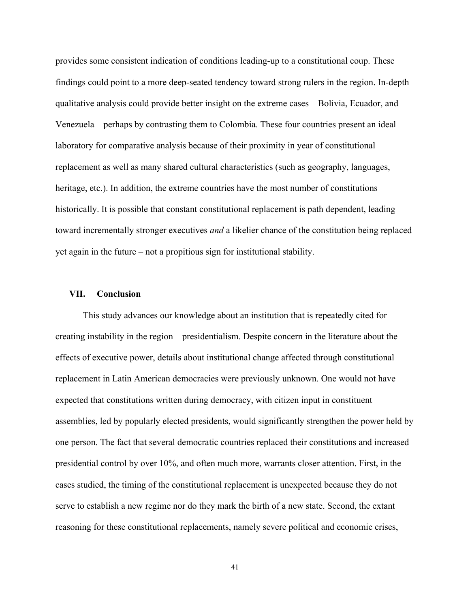provides some consistent indication of conditions leading-up to a constitutional coup. These findings could point to a more deep-seated tendency toward strong rulers in the region. In-depth qualitative analysis could provide better insight on the extreme cases – Bolivia, Ecuador, and Venezuela – perhaps by contrasting them to Colombia. These four countries present an ideal laboratory for comparative analysis because of their proximity in year of constitutional replacement as well as many shared cultural characteristics (such as geography, languages, heritage, etc.). In addition, the extreme countries have the most number of constitutions historically. It is possible that constant constitutional replacement is path dependent, leading toward incrementally stronger executives *and* a likelier chance of the constitution being replaced yet again in the future – not a propitious sign for institutional stability.

#### **VII. Conclusion**

This study advances our knowledge about an institution that is repeatedly cited for creating instability in the region – presidentialism. Despite concern in the literature about the effects of executive power, details about institutional change affected through constitutional replacement in Latin American democracies were previously unknown. One would not have expected that constitutions written during democracy, with citizen input in constituent assemblies, led by popularly elected presidents, would significantly strengthen the power held by one person. The fact that several democratic countries replaced their constitutions and increased presidential control by over 10%, and often much more, warrants closer attention. First, in the cases studied, the timing of the constitutional replacement is unexpected because they do not serve to establish a new regime nor do they mark the birth of a new state. Second, the extant reasoning for these constitutional replacements, namely severe political and economic crises,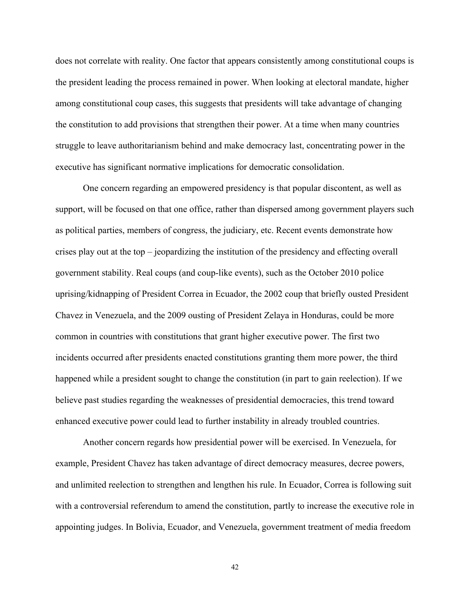does not correlate with reality. One factor that appears consistently among constitutional coups is the president leading the process remained in power. When looking at electoral mandate, higher among constitutional coup cases, this suggests that presidents will take advantage of changing the constitution to add provisions that strengthen their power. At a time when many countries struggle to leave authoritarianism behind and make democracy last, concentrating power in the executive has significant normative implications for democratic consolidation.

One concern regarding an empowered presidency is that popular discontent, as well as support, will be focused on that one office, rather than dispersed among government players such as political parties, members of congress, the judiciary, etc. Recent events demonstrate how crises play out at the top – jeopardizing the institution of the presidency and effecting overall government stability. Real coups (and coup-like events), such as the October 2010 police uprising/kidnapping of President Correa in Ecuador, the 2002 coup that briefly ousted President Chavez in Venezuela, and the 2009 ousting of President Zelaya in Honduras, could be more common in countries with constitutions that grant higher executive power. The first two incidents occurred after presidents enacted constitutions granting them more power, the third happened while a president sought to change the constitution (in part to gain reelection). If we believe past studies regarding the weaknesses of presidential democracies, this trend toward enhanced executive power could lead to further instability in already troubled countries.

Another concern regards how presidential power will be exercised. In Venezuela, for example, President Chavez has taken advantage of direct democracy measures, decree powers, and unlimited reelection to strengthen and lengthen his rule. In Ecuador, Correa is following suit with a controversial referendum to amend the constitution, partly to increase the executive role in appointing judges. In Bolivia, Ecuador, and Venezuela, government treatment of media freedom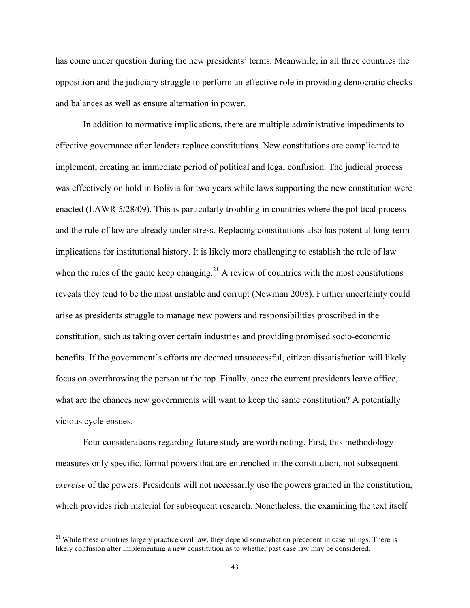has come under question during the new presidents' terms. Meanwhile, in all three countries the opposition and the judiciary struggle to perform an effective role in providing democratic checks and balances as well as ensure alternation in power.

In addition to normative implications, there are multiple administrative impediments to effective governance after leaders replace constitutions. New constitutions are complicated to implement, creating an immediate period of political and legal confusion. The judicial process was effectively on hold in Bolivia for two years while laws supporting the new constitution were enacted (LAWR 5/28/09). This is particularly troubling in countries where the political process and the rule of law are already under stress. Replacing constitutions also has potential long-term implications for institutional history. It is likely more challenging to establish the rule of law when the rules of the game keep changing.<sup>21</sup> A review of countries with the most constitutions reveals they tend to be the most unstable and corrupt (Newman 2008). Further uncertainty could arise as presidents struggle to manage new powers and responsibilities proscribed in the constitution, such as taking over certain industries and providing promised socio-economic benefits. If the government's efforts are deemed unsuccessful, citizen dissatisfaction will likely focus on overthrowing the person at the top. Finally, once the current presidents leave office, what are the chances new governments will want to keep the same constitution? A potentially vicious cycle ensues.

Four considerations regarding future study are worth noting. First, this methodology measures only specific, formal powers that are entrenched in the constitution, not subsequent *exercise* of the powers. Presidents will not necessarily use the powers granted in the constitution, which provides rich material for subsequent research. Nonetheless, the examining the text itself

 $21$  While these countries largely practice civil law, they depend somewhat on precedent in case rulings. There is likely confusion after implementing a new constitution as to whether past case law may be considered.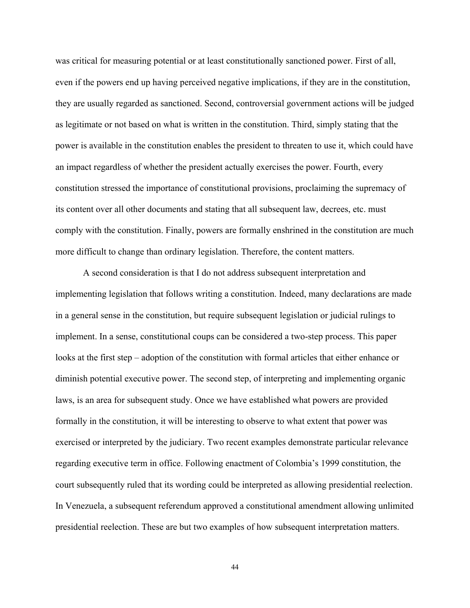was critical for measuring potential or at least constitutionally sanctioned power. First of all, even if the powers end up having perceived negative implications, if they are in the constitution, they are usually regarded as sanctioned. Second, controversial government actions will be judged as legitimate or not based on what is written in the constitution. Third, simply stating that the power is available in the constitution enables the president to threaten to use it, which could have an impact regardless of whether the president actually exercises the power. Fourth, every constitution stressed the importance of constitutional provisions, proclaiming the supremacy of its content over all other documents and stating that all subsequent law, decrees, etc. must comply with the constitution. Finally, powers are formally enshrined in the constitution are much more difficult to change than ordinary legislation. Therefore, the content matters.

A second consideration is that I do not address subsequent interpretation and implementing legislation that follows writing a constitution. Indeed, many declarations are made in a general sense in the constitution, but require subsequent legislation or judicial rulings to implement. In a sense, constitutional coups can be considered a two-step process. This paper looks at the first step – adoption of the constitution with formal articles that either enhance or diminish potential executive power. The second step, of interpreting and implementing organic laws, is an area for subsequent study. Once we have established what powers are provided formally in the constitution, it will be interesting to observe to what extent that power was exercised or interpreted by the judiciary. Two recent examples demonstrate particular relevance regarding executive term in office. Following enactment of Colombia's 1999 constitution, the court subsequently ruled that its wording could be interpreted as allowing presidential reelection. In Venezuela, a subsequent referendum approved a constitutional amendment allowing unlimited presidential reelection. These are but two examples of how subsequent interpretation matters.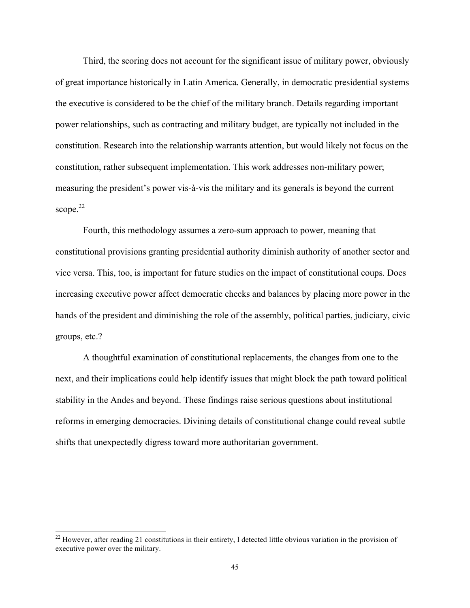Third, the scoring does not account for the significant issue of military power, obviously of great importance historically in Latin America. Generally, in democratic presidential systems the executive is considered to be the chief of the military branch. Details regarding important power relationships, such as contracting and military budget, are typically not included in the constitution. Research into the relationship warrants attention, but would likely not focus on the constitution, rather subsequent implementation. This work addresses non-military power; measuring the president's power vis-à-vis the military and its generals is beyond the current scope. $22$ 

Fourth, this methodology assumes a zero-sum approach to power, meaning that constitutional provisions granting presidential authority diminish authority of another sector and vice versa. This, too, is important for future studies on the impact of constitutional coups. Does increasing executive power affect democratic checks and balances by placing more power in the hands of the president and diminishing the role of the assembly, political parties, judiciary, civic groups, etc.?

A thoughtful examination of constitutional replacements, the changes from one to the next, and their implications could help identify issues that might block the path toward political stability in the Andes and beyond. These findings raise serious questions about institutional reforms in emerging democracies. Divining details of constitutional change could reveal subtle shifts that unexpectedly digress toward more authoritarian government.

 $^{22}$  However, after reading 21 constitutions in their entirety, I detected little obvious variation in the provision of executive power over the military.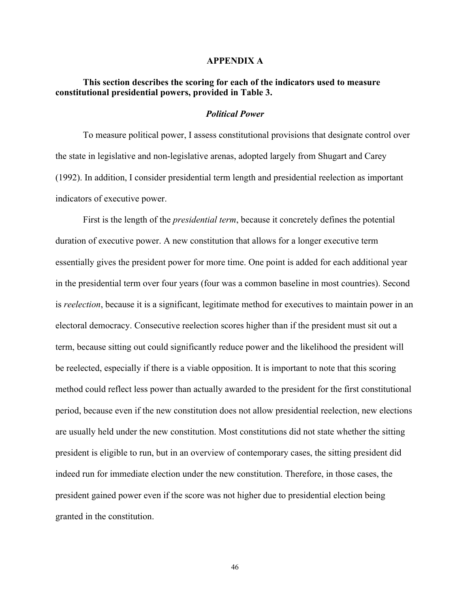#### **APPENDIX A**

# **This section describes the scoring for each of the indicators used to measure constitutional presidential powers, provided in Table 3.**

### *Political Power*

To measure political power, I assess constitutional provisions that designate control over the state in legislative and non-legislative arenas, adopted largely from Shugart and Carey (1992). In addition, I consider presidential term length and presidential reelection as important indicators of executive power.

First is the length of the *presidential term*, because it concretely defines the potential duration of executive power. A new constitution that allows for a longer executive term essentially gives the president power for more time. One point is added for each additional year in the presidential term over four years (four was a common baseline in most countries). Second is *reelection*, because it is a significant, legitimate method for executives to maintain power in an electoral democracy. Consecutive reelection scores higher than if the president must sit out a term, because sitting out could significantly reduce power and the likelihood the president will be reelected, especially if there is a viable opposition. It is important to note that this scoring method could reflect less power than actually awarded to the president for the first constitutional period, because even if the new constitution does not allow presidential reelection, new elections are usually held under the new constitution. Most constitutions did not state whether the sitting president is eligible to run, but in an overview of contemporary cases, the sitting president did indeed run for immediate election under the new constitution. Therefore, in those cases, the president gained power even if the score was not higher due to presidential election being granted in the constitution.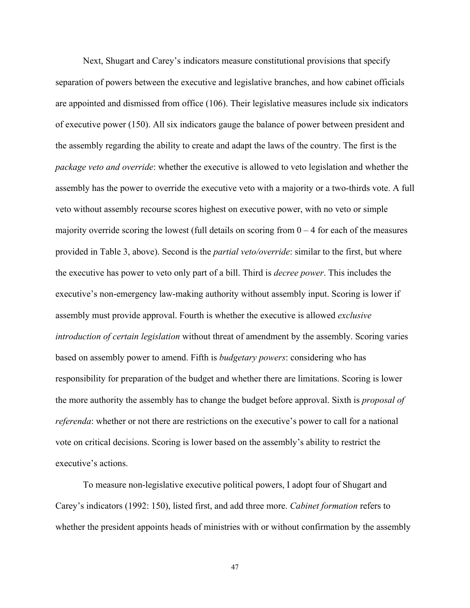Next, Shugart and Carey's indicators measure constitutional provisions that specify separation of powers between the executive and legislative branches, and how cabinet officials are appointed and dismissed from office (106). Their legislative measures include six indicators of executive power (150). All six indicators gauge the balance of power between president and the assembly regarding the ability to create and adapt the laws of the country. The first is the *package veto and override*: whether the executive is allowed to veto legislation and whether the assembly has the power to override the executive veto with a majority or a two-thirds vote. A full veto without assembly recourse scores highest on executive power, with no veto or simple majority override scoring the lowest (full details on scoring from  $0 - 4$  for each of the measures provided in Table 3, above). Second is the *partial veto/override*: similar to the first, but where the executive has power to veto only part of a bill. Third is *decree power*. This includes the executive's non-emergency law-making authority without assembly input. Scoring is lower if assembly must provide approval. Fourth is whether the executive is allowed *exclusive introduction of certain legislation* without threat of amendment by the assembly. Scoring varies based on assembly power to amend. Fifth is *budgetary powers*: considering who has responsibility for preparation of the budget and whether there are limitations. Scoring is lower the more authority the assembly has to change the budget before approval. Sixth is *proposal of referenda*: whether or not there are restrictions on the executive's power to call for a national vote on critical decisions. Scoring is lower based on the assembly's ability to restrict the executive's actions.

To measure non-legislative executive political powers, I adopt four of Shugart and Carey's indicators (1992: 150), listed first, and add three more. *Cabinet formation* refers to whether the president appoints heads of ministries with or without confirmation by the assembly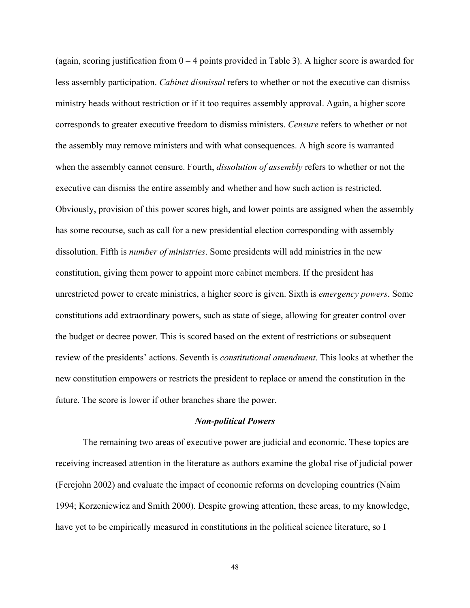(again, scoring justification from  $0 - 4$  points provided in Table 3). A higher score is awarded for less assembly participation. *Cabinet dismissal* refers to whether or not the executive can dismiss ministry heads without restriction or if it too requires assembly approval. Again, a higher score corresponds to greater executive freedom to dismiss ministers. *Censure* refers to whether or not the assembly may remove ministers and with what consequences. A high score is warranted when the assembly cannot censure. Fourth, *dissolution of assembly* refers to whether or not the executive can dismiss the entire assembly and whether and how such action is restricted. Obviously, provision of this power scores high, and lower points are assigned when the assembly has some recourse, such as call for a new presidential election corresponding with assembly dissolution. Fifth is *number of ministries*. Some presidents will add ministries in the new constitution, giving them power to appoint more cabinet members. If the president has unrestricted power to create ministries, a higher score is given. Sixth is *emergency powers*. Some constitutions add extraordinary powers, such as state of siege, allowing for greater control over the budget or decree power. This is scored based on the extent of restrictions or subsequent review of the presidents' actions. Seventh is *constitutional amendment*. This looks at whether the new constitution empowers or restricts the president to replace or amend the constitution in the future. The score is lower if other branches share the power.

#### *Non-political Powers*

The remaining two areas of executive power are judicial and economic. These topics are receiving increased attention in the literature as authors examine the global rise of judicial power (Ferejohn 2002) and evaluate the impact of economic reforms on developing countries (Naim 1994; Korzeniewicz and Smith 2000). Despite growing attention, these areas, to my knowledge, have yet to be empirically measured in constitutions in the political science literature, so I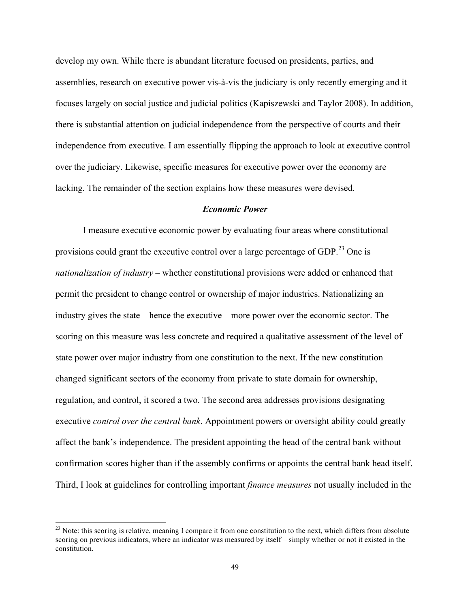develop my own. While there is abundant literature focused on presidents, parties, and assemblies, research on executive power vis-à-vis the judiciary is only recently emerging and it focuses largely on social justice and judicial politics (Kapiszewski and Taylor 2008). In addition, there is substantial attention on judicial independence from the perspective of courts and their independence from executive. I am essentially flipping the approach to look at executive control over the judiciary. Likewise, specific measures for executive power over the economy are lacking. The remainder of the section explains how these measures were devised.

#### *Economic Power*

I measure executive economic power by evaluating four areas where constitutional provisions could grant the executive control over a large percentage of GDP.<sup>23</sup> One is *nationalization of industry* – whether constitutional provisions were added or enhanced that permit the president to change control or ownership of major industries. Nationalizing an industry gives the state – hence the executive – more power over the economic sector. The scoring on this measure was less concrete and required a qualitative assessment of the level of state power over major industry from one constitution to the next. If the new constitution changed significant sectors of the economy from private to state domain for ownership, regulation, and control, it scored a two. The second area addresses provisions designating executive *control over the central bank*. Appointment powers or oversight ability could greatly affect the bank's independence. The president appointing the head of the central bank without confirmation scores higher than if the assembly confirms or appoints the central bank head itself. Third, I look at guidelines for controlling important *finance measures* not usually included in the

 $^{23}$  Note: this scoring is relative, meaning I compare it from one constitution to the next, which differs from absolute scoring on previous indicators, where an indicator was measured by itself – simply whether or not it existed in the constitution.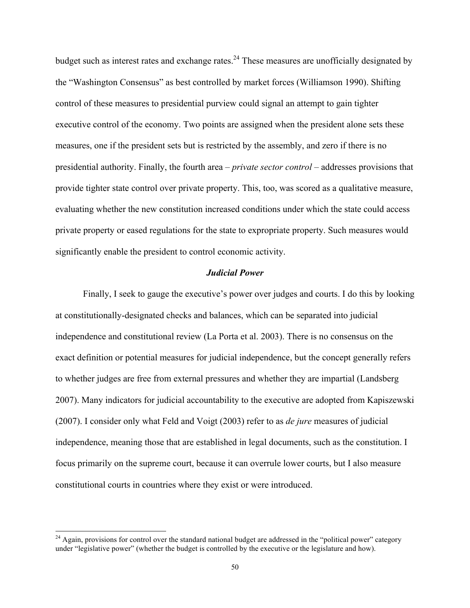budget such as interest rates and exchange rates.<sup>24</sup> These measures are unofficially designated by the "Washington Consensus" as best controlled by market forces (Williamson 1990). Shifting control of these measures to presidential purview could signal an attempt to gain tighter executive control of the economy. Two points are assigned when the president alone sets these measures, one if the president sets but is restricted by the assembly, and zero if there is no presidential authority. Finally, the fourth area – *private sector control* – addresses provisions that provide tighter state control over private property. This, too, was scored as a qualitative measure, evaluating whether the new constitution increased conditions under which the state could access private property or eased regulations for the state to expropriate property. Such measures would significantly enable the president to control economic activity.

### *Judicial Power*

Finally, I seek to gauge the executive's power over judges and courts. I do this by looking at constitutionally-designated checks and balances, which can be separated into judicial independence and constitutional review (La Porta et al. 2003). There is no consensus on the exact definition or potential measures for judicial independence, but the concept generally refers to whether judges are free from external pressures and whether they are impartial (Landsberg 2007). Many indicators for judicial accountability to the executive are adopted from Kapiszewski (2007). I consider only what Feld and Voigt (2003) refer to as *de jure* measures of judicial independence, meaning those that are established in legal documents, such as the constitution. I focus primarily on the supreme court, because it can overrule lower courts, but I also measure constitutional courts in countries where they exist or were introduced.

 $^{24}$  Again, provisions for control over the standard national budget are addressed in the "political power" category under "legislative power" (whether the budget is controlled by the executive or the legislature and how).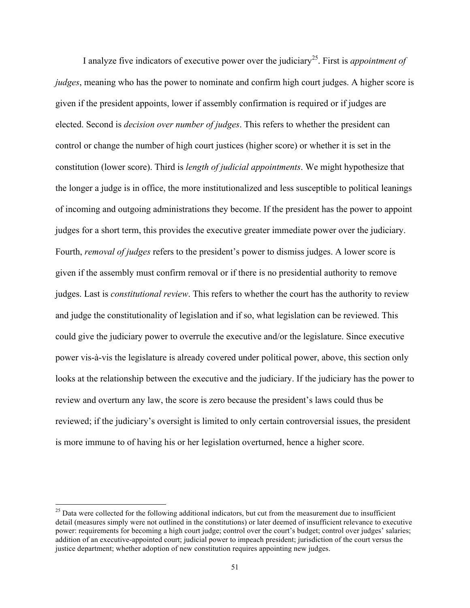I analyze five indicators of executive power over the judiciary<sup>25</sup>. First is *appointment of judges*, meaning who has the power to nominate and confirm high court judges. A higher score is given if the president appoints, lower if assembly confirmation is required or if judges are elected. Second is *decision over number of judges*. This refers to whether the president can control or change the number of high court justices (higher score) or whether it is set in the constitution (lower score). Third is *length of judicial appointments*. We might hypothesize that the longer a judge is in office, the more institutionalized and less susceptible to political leanings of incoming and outgoing administrations they become. If the president has the power to appoint judges for a short term, this provides the executive greater immediate power over the judiciary. Fourth, *removal of judges* refers to the president's power to dismiss judges. A lower score is given if the assembly must confirm removal or if there is no presidential authority to remove judges. Last is *constitutional review*. This refers to whether the court has the authority to review and judge the constitutionality of legislation and if so, what legislation can be reviewed. This could give the judiciary power to overrule the executive and/or the legislature. Since executive power vis-à-vis the legislature is already covered under political power, above, this section only looks at the relationship between the executive and the judiciary. If the judiciary has the power to review and overturn any law, the score is zero because the president's laws could thus be reviewed; if the judiciary's oversight is limited to only certain controversial issues, the president is more immune to of having his or her legislation overturned, hence a higher score.

<sup>&</sup>lt;sup>25</sup> Data were collected for the following additional indicators, but cut from the measurement due to insufficient detail (measures simply were not outlined in the constitutions) or later deemed of insufficient relevance to executive power: requirements for becoming a high court judge; control over the court's budget; control over judges' salaries; addition of an executive-appointed court; judicial power to impeach president; jurisdiction of the court versus the justice department; whether adoption of new constitution requires appointing new judges.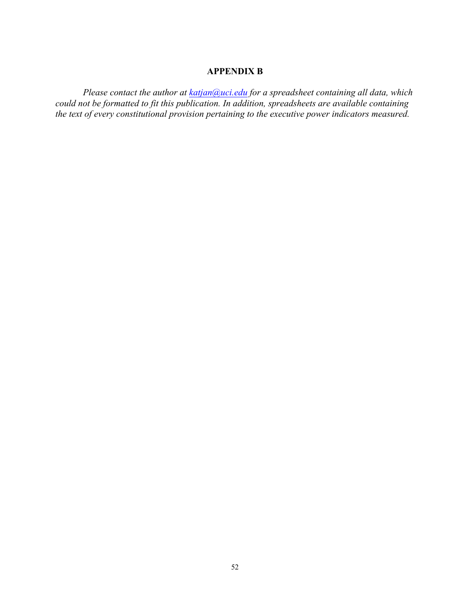### **APPENDIX B**

*Please contact the author at katjan@uci.edu for a spreadsheet containing all data, which could not be formatted to fit this publication. In addition, spreadsheets are available containing the text of every constitutional provision pertaining to the executive power indicators measured.*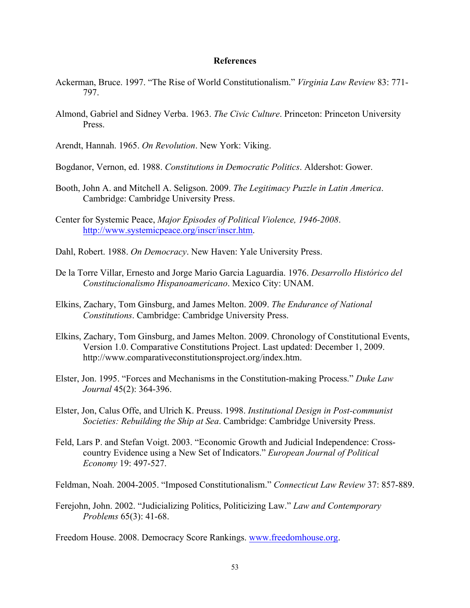### **References**

- Ackerman, Bruce. 1997. "The Rise of World Constitutionalism." *Virginia Law Review* 83: 771- 797.
- Almond, Gabriel and Sidney Verba. 1963. *The Civic Culture*. Princeton: Princeton University Press.

Arendt, Hannah. 1965. *On Revolution*. New York: Viking.

Bogdanor, Vernon, ed. 1988. *Constitutions in Democratic Politics*. Aldershot: Gower.

- Booth, John A. and Mitchell A. Seligson. 2009. *The Legitimacy Puzzle in Latin America*. Cambridge: Cambridge University Press.
- Center for Systemic Peace, *Major Episodes of Political Violence, 1946-2008*. http://www.systemicpeace.org/inscr/inscr.htm.
- Dahl, Robert. 1988. *On Democracy*. New Haven: Yale University Press.
- De la Torre Villar, Ernesto and Jorge Mario Garcia Laguardia. 1976. *Desarrollo Histórico del Constitucionalismo Hispanoamericano*. Mexico City: UNAM.
- Elkins, Zachary, Tom Ginsburg, and James Melton. 2009. *The Endurance of National Constitutions*. Cambridge: Cambridge University Press.
- Elkins, Zachary, Tom Ginsburg, and James Melton. 2009. Chronology of Constitutional Events, Version 1.0. Comparative Constitutions Project. Last updated: December 1, 2009. http://www.comparativeconstitutionsproject.org/index.htm.
- Elster, Jon. 1995. "Forces and Mechanisms in the Constitution-making Process." *Duke Law Journal* 45(2): 364-396.
- Elster, Jon, Calus Offe, and Ulrich K. Preuss. 1998. *Institutional Design in Post-communist Societies: Rebuilding the Ship at Sea*. Cambridge: Cambridge University Press.
- Feld, Lars P. and Stefan Voigt. 2003. "Economic Growth and Judicial Independence: Crosscountry Evidence using a New Set of Indicators." *European Journal of Political Economy* 19: 497-527.

Feldman, Noah. 2004-2005. "Imposed Constitutionalism." *Connecticut Law Review* 37: 857-889.

Ferejohn, John. 2002. "Judicializing Politics, Politicizing Law." *Law and Contemporary Problems* 65(3): 41-68.

Freedom House. 2008. Democracy Score Rankings. www.freedomhouse.org.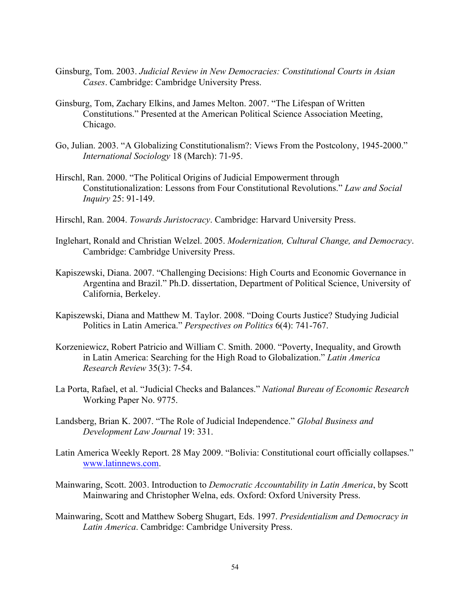- Ginsburg, Tom. 2003. *Judicial Review in New Democracies: Constitutional Courts in Asian Cases*. Cambridge: Cambridge University Press.
- Ginsburg, Tom, Zachary Elkins, and James Melton. 2007. "The Lifespan of Written Constitutions." Presented at the American Political Science Association Meeting, Chicago.
- Go, Julian. 2003. "A Globalizing Constitutionalism?: Views From the Postcolony, 1945-2000." *International Sociology* 18 (March): 71-95.
- Hirschl, Ran. 2000. "The Political Origins of Judicial Empowerment through Constitutionalization: Lessons from Four Constitutional Revolutions." *Law and Social Inquiry* 25: 91-149.
- Hirschl, Ran. 2004. *Towards Juristocracy*. Cambridge: Harvard University Press.
- Inglehart, Ronald and Christian Welzel. 2005. *Modernization, Cultural Change, and Democracy*. Cambridge: Cambridge University Press.
- Kapiszewski, Diana. 2007. "Challenging Decisions: High Courts and Economic Governance in Argentina and Brazil." Ph.D. dissertation, Department of Political Science, University of California, Berkeley.
- Kapiszewski, Diana and Matthew M. Taylor. 2008. "Doing Courts Justice? Studying Judicial Politics in Latin America." *Perspectives on Politics* 6(4): 741-767.
- Korzeniewicz, Robert Patricio and William C. Smith. 2000. "Poverty, Inequality, and Growth in Latin America: Searching for the High Road to Globalization." *Latin America Research Review* 35(3): 7-54.
- La Porta, Rafael, et al. "Judicial Checks and Balances." *National Bureau of Economic Research*  Working Paper No. 9775.
- Landsberg, Brian K. 2007. "The Role of Judicial Independence." *Global Business and Development Law Journal* 19: 331.
- Latin America Weekly Report. 28 May 2009. "Bolivia: Constitutional court officially collapses." www.latinnews.com.
- Mainwaring, Scott. 2003. Introduction to *Democratic Accountability in Latin America*, by Scott Mainwaring and Christopher Welna, eds. Oxford: Oxford University Press.
- Mainwaring, Scott and Matthew Soberg Shugart, Eds. 1997. *Presidentialism and Democracy in Latin America*. Cambridge: Cambridge University Press.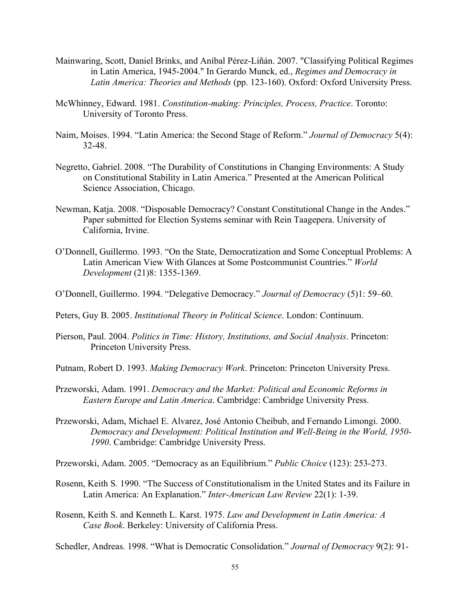- Mainwaring, Scott, Daniel Brinks, and Aníbal Pérez-Liñán. 2007. "Classifying Political Regimes in Latin America, 1945-2004." In Gerardo Munck, ed., *Regimes and Democracy in Latin America: Theories and Methods* (pp. 123-160). Oxford: Oxford University Press.
- McWhinney, Edward. 1981. *Constitution-making: Principles, Process, Practice*. Toronto: University of Toronto Press.
- Naim, Moises. 1994. "Latin America: the Second Stage of Reform." *Journal of Democracy* 5(4): 32-48.
- Negretto, Gabriel. 2008. "The Durability of Constitutions in Changing Environments: A Study on Constitutional Stability in Latin America." Presented at the American Political Science Association, Chicago.
- Newman, Katja. 2008. "Disposable Democracy? Constant Constitutional Change in the Andes." Paper submitted for Election Systems seminar with Rein Taagepera. University of California, Irvine.
- O'Donnell, Guillermo. 1993. "On the State, Democratization and Some Conceptual Problems: A Latin American View With Glances at Some Postcommunist Countries." *World Development* (21)8: 1355-1369.
- O'Donnell, Guillermo. 1994. "Delegative Democracy." *Journal of Democracy* (5)1: 59–60.
- Peters, Guy B. 2005. *Institutional Theory in Political Science*. London: Continuum.
- Pierson, Paul. 2004. *Politics in Time: History, Institutions, and Social Analysis*. Princeton: Princeton University Press.
- Putnam, Robert D. 1993. *Making Democracy Work*. Princeton: Princeton University Press.
- Przeworski, Adam. 1991. *Democracy and the Market: Political and Economic Reforms in Eastern Europe and Latin America*. Cambridge: Cambridge University Press.
- Przeworski, Adam, Michael E. Alvarez, José Antonio Cheibub, and Fernando Limongi. 2000. *Democracy and Development: Political Institution and Well-Being in the World, 1950- 1990*. Cambridge: Cambridge University Press.

Przeworski, Adam. 2005. "Democracy as an Equilibrium." *Public Choice* (123): 253-273.

- Rosenn, Keith S. 1990. "The Success of Constitutionalism in the United States and its Failure in Latin America: An Explanation." *Inter-American Law Review* 22(1): 1-39.
- Rosenn, Keith S. and Kenneth L. Karst. 1975. *Law and Development in Latin America: A Case Book*. Berkeley: University of California Press.

Schedler, Andreas. 1998. "What is Democratic Consolidation." *Journal of Democracy* 9(2): 91-